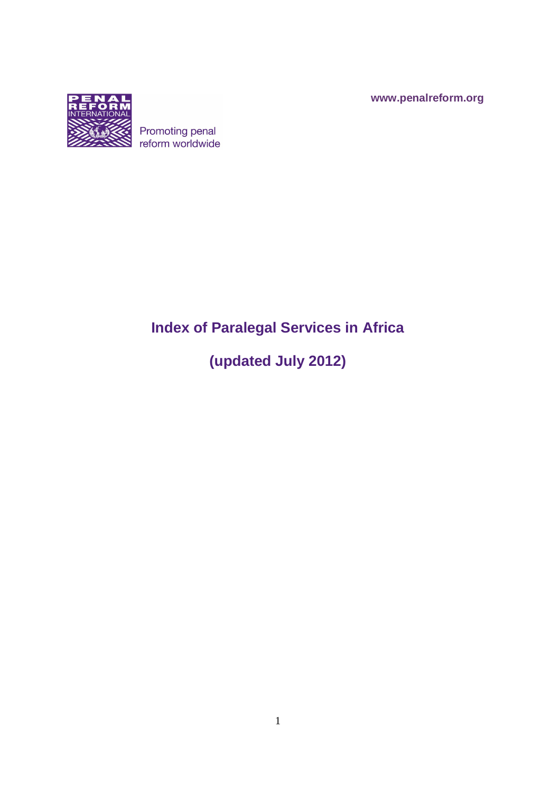**www.penalreform.org**



# Promoting penal<br>reform worldwide

# **Index of Paralegal Services in Africa**

# **(updated July 2012)**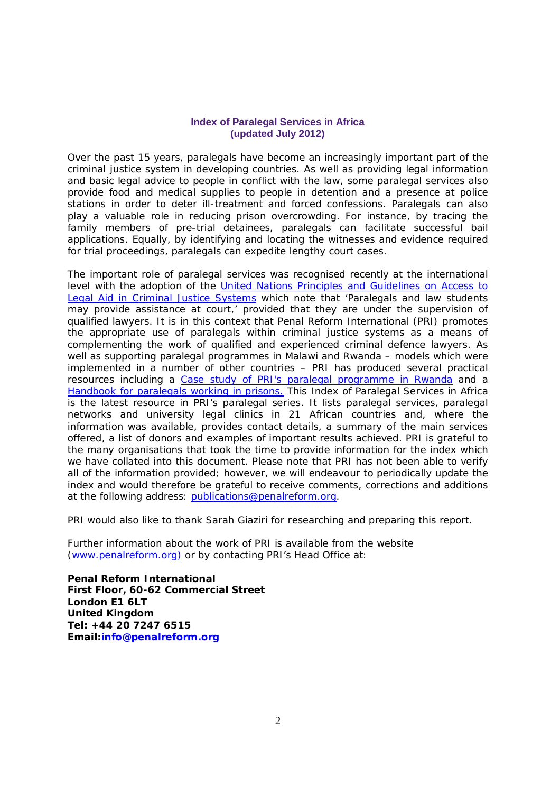#### **Index of Paralegal Services in Africa (updated July 2012)**

Over the past 15 years, paralegals have become an increasingly important part of the criminal justice system in developing countries. As well as providing legal information and basic legal advice to people in conflict with the law, some paralegal services also provide food and medical supplies to people in detention and a presence at police stations in order to deter ill-treatment and forced confessions. Paralegals can also play a valuable role in reducing prison overcrowding. For instance, by tracing the family members of pre-trial detainees, paralegals can facilitate successful bail applications. Equally, by identifying and locating the witnesses and evidence required for trial proceedings, paralegals can expedite lengthy court cases.

The important role of paralegal services was recognised recently at the international level with the adoption of the United Nations Principles and Guidelines on Access to Legal Aid in Criminal Justice Systems which note that 'Paralegals and law students may provide assistance at court,' provided that they are under the supervision of qualified lawyers. It is in this context that Penal Reform International (PRI) promotes the appropriate use of paralegals within criminal justice systems as a means of complementing the work of qualified and experienced criminal defence lawyers. As well as supporting paralegal programmes in Malawi and Rwanda – models which were implemented in a number of other countries – PRI has produced several practical resources including a Case study of PRI's paralegal programme in Rwanda and a Handbook for paralegals working in prisons. This Index of Paralegal Services in Africa is the latest resource in PRI's paralegal series. It lists paralegal services, paralegal networks and university legal clinics in 21 African countries and, where the information was available, provides contact details, a summary of the main services offered, a list of donors and examples of important results achieved. PRI is grateful to the many organisations that took the time to provide information for the index which we have collated into this document. Please note that PRI has not been able to verify all of the information provided; however, we will endeavour to periodically update the index and would therefore be grateful to receive comments, corrections and additions at the following address: publications@penalreform.org.

PRI would also like to thank Sarah Giaziri for researching and preparing this report.

Further information about the work of PRI is available from the website (www.penalreform.org) or by contacting PRI's Head Office at:

**Penal Reform International First Floor, 60-62 Commercial Street London E1 6LT United Kingdom Tel: +44 20 7247 6515 Email:info@penalreform.org**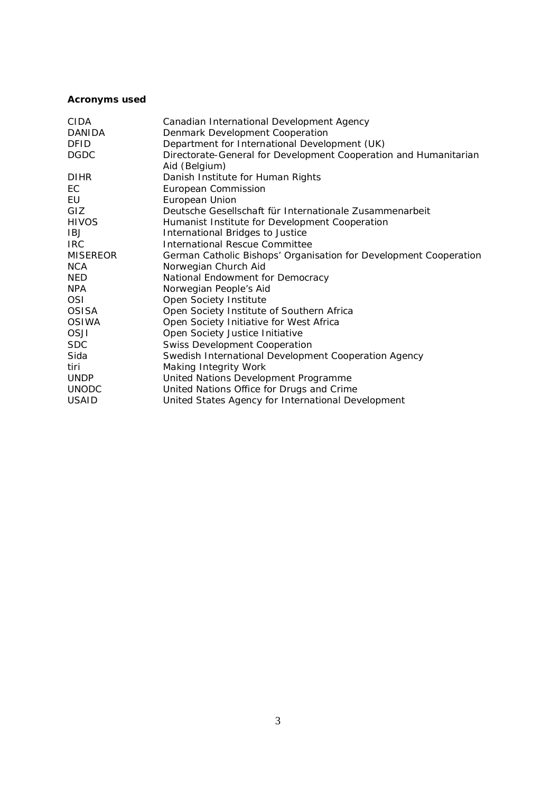# **Acronyms used**

| CIDA            | Canadian International Development Agency                                         |
|-----------------|-----------------------------------------------------------------------------------|
| <b>DANIDA</b>   | Denmark Development Cooperation                                                   |
| <b>DFID</b>     | Department for International Development (UK)                                     |
| <b>DGDC</b>     | Directorate-General for Development Cooperation and Humanitarian<br>Aid (Belgium) |
| <b>DIHR</b>     | Danish Institute for Human Rights                                                 |
| EC              | European Commission                                                               |
| EU              | European Union                                                                    |
| GIZ             | Deutsche Gesellschaft für Internationale Zusammenarbeit                           |
| <b>HIVOS</b>    | Humanist Institute for Development Cooperation                                    |
| IBJ             | International Bridges to Justice                                                  |
| <b>IRC</b>      | <b>International Rescue Committee</b>                                             |
| <b>MISEREOR</b> | German Catholic Bishops' Organisation for Development Cooperation                 |
| <b>NCA</b>      | Norwegian Church Aid                                                              |
| <b>NED</b>      | National Endowment for Democracy                                                  |
| <b>NPA</b>      | Norwegian People's Aid                                                            |
| <b>OSI</b>      | Open Society Institute                                                            |
| <b>OSISA</b>    | Open Society Institute of Southern Africa                                         |
| <b>OSIWA</b>    | Open Society Initiative for West Africa                                           |
| OSJI            | Open Society Justice Initiative                                                   |
| <b>SDC</b>      | <b>Swiss Development Cooperation</b>                                              |
| Sida            | Swedish International Development Cooperation Agency                              |
| tiri            | Making Integrity Work                                                             |
| <b>UNDP</b>     | United Nations Development Programme                                              |
| <b>UNODC</b>    | United Nations Office for Drugs and Crime                                         |
| <b>USAID</b>    | United States Agency for International Development                                |
|                 |                                                                                   |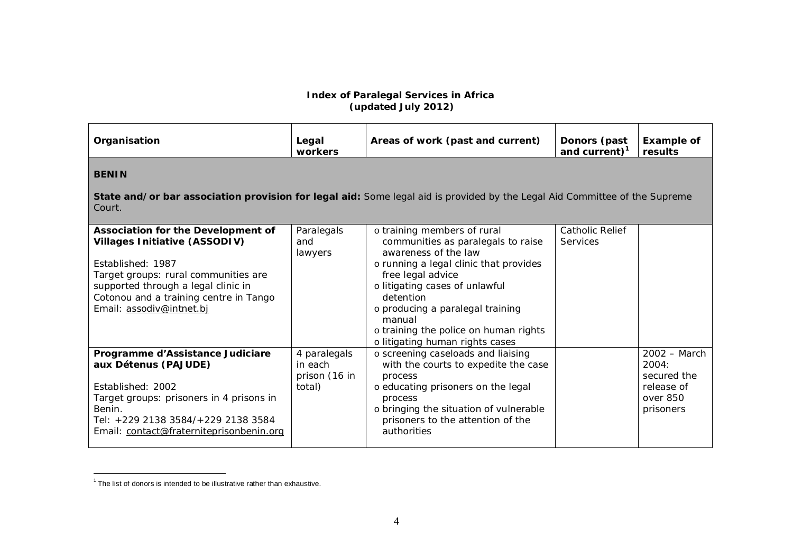#### **Index of Paralegal Services in Africa (updated July 2012)**

| Organisation                                                                                                                                                                                                                                         | Legal<br>workers                                   | Areas of work (past and current)                                                                                                                                                                                                                                                                                                  | Donors (past<br>and current) $1$          | <b>Example of</b><br>results                                                  |  |
|------------------------------------------------------------------------------------------------------------------------------------------------------------------------------------------------------------------------------------------------------|----------------------------------------------------|-----------------------------------------------------------------------------------------------------------------------------------------------------------------------------------------------------------------------------------------------------------------------------------------------------------------------------------|-------------------------------------------|-------------------------------------------------------------------------------|--|
| <b>BENIN</b>                                                                                                                                                                                                                                         |                                                    |                                                                                                                                                                                                                                                                                                                                   |                                           |                                                                               |  |
| State and/or bar association provision for legal aid: Some legal aid is provided by the Legal Aid Committee of the Supreme<br>Court.                                                                                                                 |                                                    |                                                                                                                                                                                                                                                                                                                                   |                                           |                                                                               |  |
| Association for the Development of<br><b>Villages Initiative (ASSODIV)</b><br>Established: 1987<br>Target groups: rural communities are<br>supported through a legal clinic in<br>Cotonou and a training centre in Tango<br>Email: assodiv@intnet.bj | Paralegals<br>and<br>lawyers                       | o training members of rural<br>communities as paralegals to raise<br>awareness of the law<br>o running a legal clinic that provides<br>free legal advice<br>o litigating cases of unlawful<br>detention<br>o producing a paralegal training<br>manual<br>o training the police on human rights<br>o litigating human rights cases | <b>Catholic Relief</b><br><b>Services</b> |                                                                               |  |
| Programme d'Assistance Judiciare<br>aux Détenus (PAJUDE)<br>Established: 2002<br>Target groups: prisoners in 4 prisons in<br>Benin.<br>Tel: +229 2138 3584/+229 2138 3584<br>Email: contact@fraterniteprisonbenin.org                                | 4 paralegals<br>in each<br>prison (16 in<br>total) | o screening caseloads and liaising<br>with the courts to expedite the case<br>process<br>o educating prisoners on the legal<br>process<br>o bringing the situation of vulnerable<br>prisoners to the attention of the<br>authorities                                                                                              |                                           | $2002 - March$<br>2004:<br>secured the<br>release of<br>over 850<br>prisoners |  |

The list of donors is intended to be illustrative rather than exhaustive.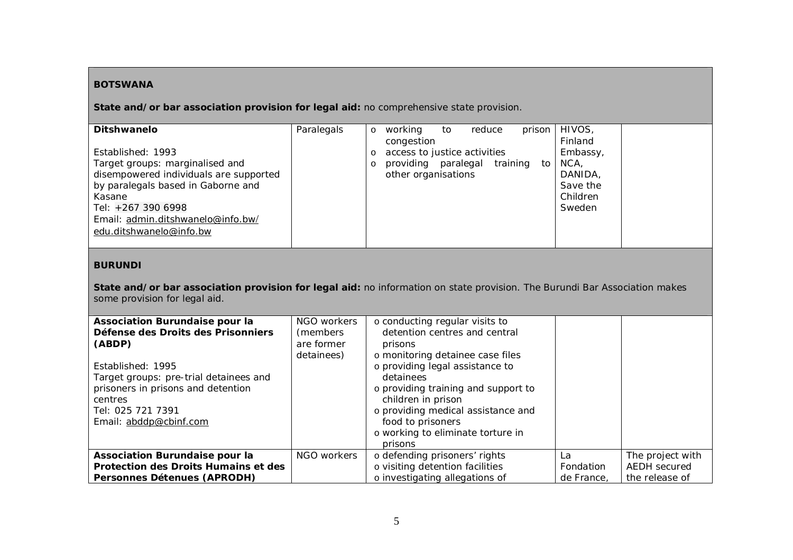### **BOTSWANA**

**State and/or bar association provision for legal aid:** no comprehensive state provision.

| Ditshwanelo                                                                                                                                                                                                                          | Paralegals | HIVOS,<br>working<br>prison<br>reduce<br>to<br>$\circ$<br>Finland<br>congestion                                                                                       |
|--------------------------------------------------------------------------------------------------------------------------------------------------------------------------------------------------------------------------------------|------------|-----------------------------------------------------------------------------------------------------------------------------------------------------------------------|
| Established: 1993<br>Target groups: marginalised and<br>disempowered individuals are supported<br>by paralegals based in Gaborne and<br>Kasane<br>Tel: +267 390 6998<br>Email: admin.ditshwanelo@info.bw/<br>edu.ditshwanelo@info.bw |            | access to justice activities<br>Embassy,<br>$\circ$<br>training to<br>providing paralegal<br>NCA.<br>other organisations<br>DANIDA.<br>Save the<br>Children<br>Sweden |

#### **BURUNDI**

**State and/or bar association provision for legal aid:** no information on state provision. The Burundi Bar Association makes some provision for legal aid.

| <b>Association Burundaise pour la</b><br>Défense des Droits des Prisonniers<br>(ABDP)<br>Established: 1995<br>Target groups: pre-trial detainees and<br>prisoners in prisons and detention<br>centres<br>Tel: 025 721 7391<br>Email: abddp@cbinf.com | NGO workers<br>(members)<br>are former<br>detainees) | o conducting regular visits to<br>detention centres and central<br>prisons<br>o monitoring detainee case files<br>o providing legal assistance to<br>detainees<br>o providing training and support to<br>children in prison<br>o providing medical assistance and<br>food to prisoners<br>o working to eliminate torture in<br>prisons |            |                  |
|------------------------------------------------------------------------------------------------------------------------------------------------------------------------------------------------------------------------------------------------------|------------------------------------------------------|----------------------------------------------------------------------------------------------------------------------------------------------------------------------------------------------------------------------------------------------------------------------------------------------------------------------------------------|------------|------------------|
| Association Burundaise pour la                                                                                                                                                                                                                       | NGO workers                                          | o defending prisoners' rights                                                                                                                                                                                                                                                                                                          | La         | The project with |
| Protection des Droits Humains et des                                                                                                                                                                                                                 |                                                      | o visiting detention facilities                                                                                                                                                                                                                                                                                                        | Fondation  | AEDH secured     |
| Personnes Détenues (APRODH)                                                                                                                                                                                                                          |                                                      | o investigating allegations of                                                                                                                                                                                                                                                                                                         | de France. | the release of   |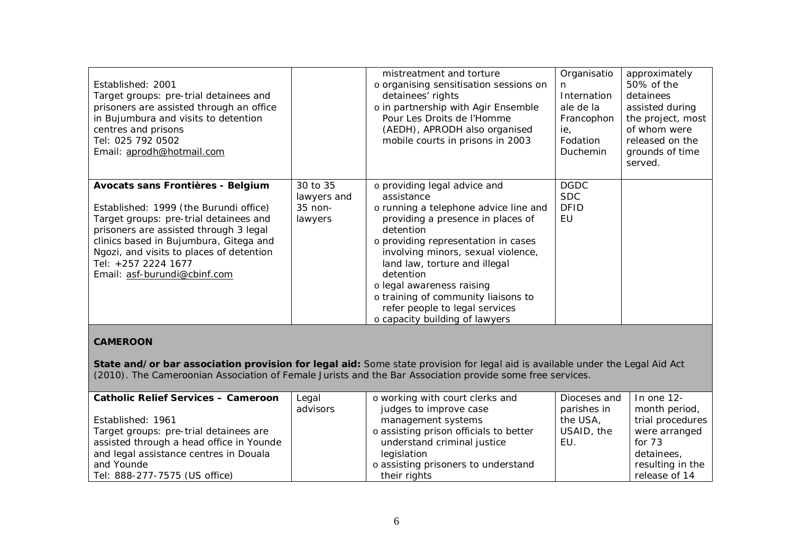| Established: 2001<br>Target groups: pre-trial detainees and<br>prisoners are assisted through an office<br>in Bujumbura and visits to detention<br>centres and prisons<br>Tel: 025 792 0502<br>Email: aprodh@hotmail.com                                                                                     |                                               | mistreatment and torture<br>o organising sensitisation sessions on<br>detainees' rights<br>o in partnership with Agir Ensemble<br>Pour Les Droits de l'Homme<br>(AEDH), APRODH also organised<br>mobile courts in prisons in 2003                                                                                                                                                                        | Organisatio<br>n.<br>Internation<br>ale de la<br>Francophon<br>ie,<br>Fodation<br>Duchemin | approximately<br>50% of the<br>detainees<br>assisted during<br>the project, most<br>of whom were<br>released on the<br>grounds of time<br>served. |
|--------------------------------------------------------------------------------------------------------------------------------------------------------------------------------------------------------------------------------------------------------------------------------------------------------------|-----------------------------------------------|----------------------------------------------------------------------------------------------------------------------------------------------------------------------------------------------------------------------------------------------------------------------------------------------------------------------------------------------------------------------------------------------------------|--------------------------------------------------------------------------------------------|---------------------------------------------------------------------------------------------------------------------------------------------------|
| Avocats sans Frontières - Belgium<br>Established: 1999 (the Burundi office)<br>Target groups: pre-trial detainees and<br>prisoners are assisted through 3 legal<br>clinics based in Bujumbura, Gitega and<br>Ngozi, and visits to places of detention<br>Tel: +257 2224 1677<br>Email: asf-burundi@cbinf.com | 30 to 35<br>lawyers and<br>35 non-<br>lawyers | o providing legal advice and<br>assistance<br>o running a telephone advice line and<br>providing a presence in places of<br>detention<br>o providing representation in cases<br>involving minors, sexual violence,<br>land law, torture and illegal<br>detention<br>o legal awareness raising<br>o training of community liaisons to<br>refer people to legal services<br>o capacity building of lawyers | <b>DGDC</b><br><b>SDC</b><br><b>DFID</b><br>EU                                             |                                                                                                                                                   |

# **CAMEROON**

**State and/or bar association provision for legal aid:** Some state provision for legal aid is available under the Legal Aid Act (2010). The Cameroonian Association of Female Jurists and the Bar Association provide some free services.

| <b>Catholic Relief Services - Cameroon</b> | Legal    | o working with court clerks and        | Dioceses and | l In one 12-     |
|--------------------------------------------|----------|----------------------------------------|--------------|------------------|
|                                            | advisors | judges to improve case                 | parishes in  | month period,    |
| Established: 1961                          |          | management systems                     | the USA,     | trial procedures |
| Target groups: pre-trial detainees are     |          | o assisting prison officials to better | USAID, the   | were arranged    |
| assisted through a head office in Younde   |          | understand criminal justice            | EU.          | for $73$         |
| and legal assistance centres in Douala     |          | legislation                            |              | detainees,       |
| and Younde                                 |          | o assisting prisoners to understand    |              | resulting in the |
| Tel: 888-277-7575 (US office)              |          | their rights                           |              | release of 14    |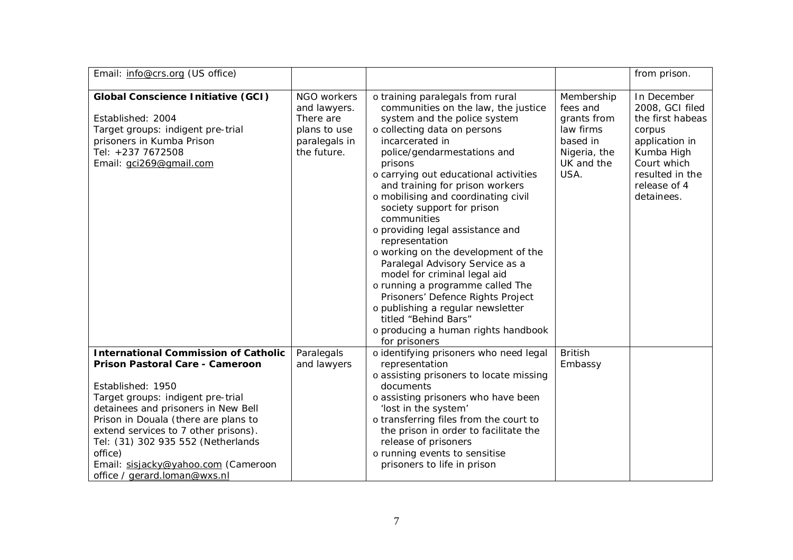| Email: info@crs.org (US office)                                                                                                                                                                                                                                                                                                                                                         |                                                                                          |                                                                                                                                                                                                                                                                                                                                                                                                                                                                                                                                                                                                                                                                                                                                    |                                                                                                      | from prison.                                                                                                                                                 |
|-----------------------------------------------------------------------------------------------------------------------------------------------------------------------------------------------------------------------------------------------------------------------------------------------------------------------------------------------------------------------------------------|------------------------------------------------------------------------------------------|------------------------------------------------------------------------------------------------------------------------------------------------------------------------------------------------------------------------------------------------------------------------------------------------------------------------------------------------------------------------------------------------------------------------------------------------------------------------------------------------------------------------------------------------------------------------------------------------------------------------------------------------------------------------------------------------------------------------------------|------------------------------------------------------------------------------------------------------|--------------------------------------------------------------------------------------------------------------------------------------------------------------|
| <b>Global Conscience Initiative (GCI)</b><br>Established: 2004<br>Target groups: indigent pre-trial<br>prisoners in Kumba Prison<br>Tel: +237 7672508<br>Email: gci269@gmail.com                                                                                                                                                                                                        | NGO workers<br>and lawyers.<br>There are<br>plans to use<br>paralegals in<br>the future. | o training paralegals from rural<br>communities on the law, the justice<br>system and the police system<br>o collecting data on persons<br>incarcerated in<br>police/gendarmestations and<br>prisons<br>o carrying out educational activities<br>and training for prison workers<br>o mobilising and coordinating civil<br>society support for prison<br>communities<br>o providing legal assistance and<br>representation<br>o working on the development of the<br>Paralegal Advisory Service as a<br>model for criminal legal aid<br>o running a programme called The<br>Prisoners' Defence Rights Project<br>o publishing a regular newsletter<br>titled "Behind Bars"<br>o producing a human rights handbook<br>for prisoners | Membership<br>fees and<br>grants from<br>law firms<br>based in<br>Nigeria, the<br>UK and the<br>USA. | In December<br>2008, GCI filed<br>the first habeas<br>corpus<br>application in<br>Kumba High<br>Court which<br>resulted in the<br>release of 4<br>detainees. |
| <b>International Commission of Catholic</b><br>Prison Pastoral Care - Cameroon<br>Established: 1950<br>Target groups: indigent pre-trial<br>detainees and prisoners in New Bell<br>Prison in Douala (there are plans to<br>extend services to 7 other prisons).<br>Tel: (31) 302 935 552 (Netherlands<br>office)<br>Email: sisjacky@yahoo.com (Cameroon<br>office / gerard.loman@wxs.nl | Paralegals<br>and lawyers                                                                | o identifying prisoners who need legal<br>representation<br>o assisting prisoners to locate missing<br>documents<br>o assisting prisoners who have been<br>'lost in the system'<br>o transferring files from the court to<br>the prison in order to facilitate the<br>release of prisoners<br>o running events to sensitise<br>prisoners to life in prison                                                                                                                                                                                                                                                                                                                                                                         | <b>British</b><br>Embassy                                                                            |                                                                                                                                                              |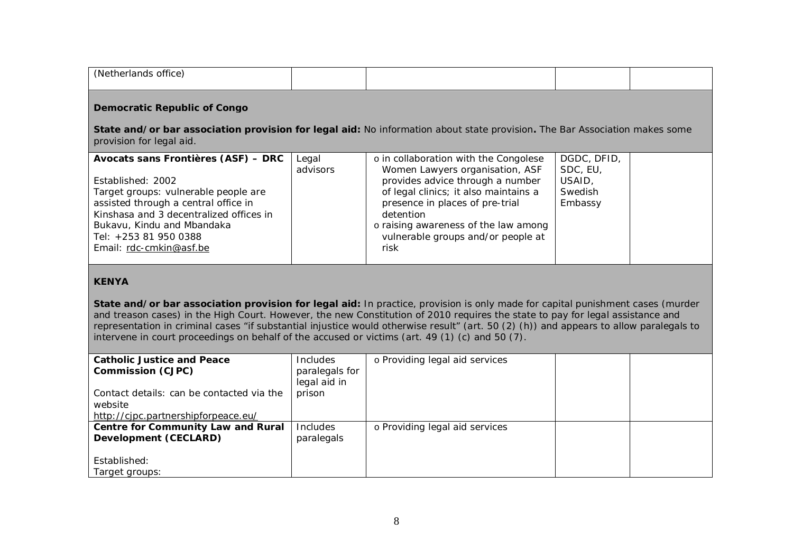| (Netherlands office)                                                                                                                                                                                                                                                  |                                                                                                                            |                                                                                                                                                                                                                                                                                             |                                                         |  |  |  |
|-----------------------------------------------------------------------------------------------------------------------------------------------------------------------------------------------------------------------------------------------------------------------|----------------------------------------------------------------------------------------------------------------------------|---------------------------------------------------------------------------------------------------------------------------------------------------------------------------------------------------------------------------------------------------------------------------------------------|---------------------------------------------------------|--|--|--|
| <b>Democratic Republic of Congo</b>                                                                                                                                                                                                                                   |                                                                                                                            |                                                                                                                                                                                                                                                                                             |                                                         |  |  |  |
| provision for legal aid.                                                                                                                                                                                                                                              | State and/or bar association provision for legal aid: No information about state provision. The Bar Association makes some |                                                                                                                                                                                                                                                                                             |                                                         |  |  |  |
| Avocats sans Frontières (ASF) - DRC<br>Established: 2002<br>Target groups: vulnerable people are<br>assisted through a central office in<br>Kinshasa and 3 decentralized offices in<br>Bukavu, Kindu and Mbandaka<br>Tel: +253 81 950 0388<br>Email: rdc-cmkin@asf.be | Legal<br>advisors                                                                                                          | o in collaboration with the Congolese<br>Women Lawyers organisation, ASF<br>provides advice through a number<br>of legal clinics; it also maintains a<br>presence in places of pre-trial<br>detention<br>o raising awareness of the law among<br>vulnerable groups and/or people at<br>risk | DGDC, DFID,<br>SDC, EU,<br>USAID,<br>Swedish<br>Embassy |  |  |  |

# **KENYA**

**State and/or bar association provision for legal aid:** In practice, provision is only made for capital punishment cases (murder and treason cases) in the High Court. However, the new Constitution of 2010 requires the state to pay for legal assistance and representation in criminal cases "if substantial injustice would otherwise result" (art. 50 (2) (h)) and appears to allow paralegals to intervene in court proceedings on behalf of the accused or victims (art. 49 (1) (c) and 50 (7).

| <b>Catholic Justice and Peace</b>         | <b>Includes</b> | o Providing legal aid services |  |
|-------------------------------------------|-----------------|--------------------------------|--|
| <b>Commission (CJPC)</b>                  | paralegals for  |                                |  |
|                                           | legal aid in    |                                |  |
| Contact details: can be contacted via the | prison          |                                |  |
| website                                   |                 |                                |  |
| http://cjpc.partnershipforpeace.eu/       |                 |                                |  |
| Centre for Community Law and Rural        | Includes        | o Providing legal aid services |  |
| Development (CECLARD)                     | paralegals      |                                |  |
|                                           |                 |                                |  |
| Established:                              |                 |                                |  |
| Target groups:                            |                 |                                |  |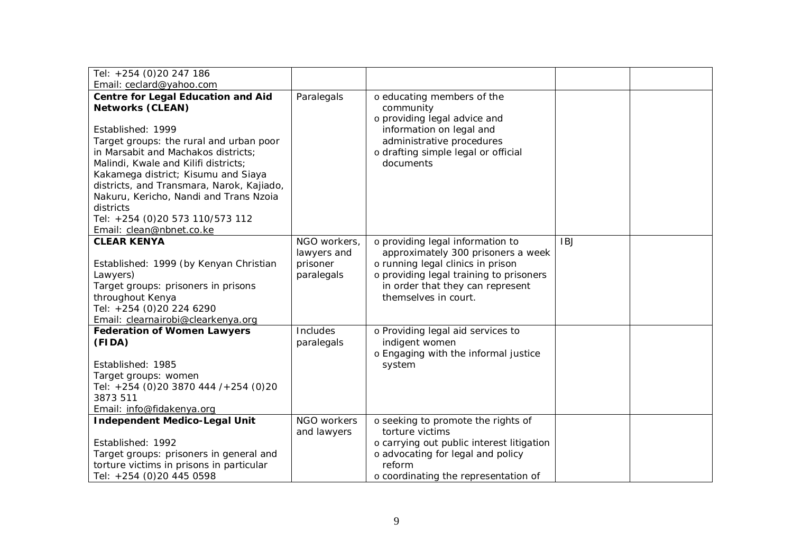| Tel: +254 (0)20 247 186                                                                                                                                                                                                                                                                |                                                       |                                                                                                                                                                                                                    |            |  |
|----------------------------------------------------------------------------------------------------------------------------------------------------------------------------------------------------------------------------------------------------------------------------------------|-------------------------------------------------------|--------------------------------------------------------------------------------------------------------------------------------------------------------------------------------------------------------------------|------------|--|
| Email: ceclard@yahoo.com                                                                                                                                                                                                                                                               |                                                       |                                                                                                                                                                                                                    |            |  |
| <b>Centre for Legal Education and Aid</b><br><b>Networks (CLEAN)</b>                                                                                                                                                                                                                   | Paralegals                                            | o educating members of the<br>community<br>o providing legal advice and                                                                                                                                            |            |  |
| Established: 1999<br>Target groups: the rural and urban poor<br>in Marsabit and Machakos districts;<br>Malindi, Kwale and Kilifi districts;<br>Kakamega district; Kisumu and Siaya<br>districts, and Transmara, Narok, Kajiado,<br>Nakuru, Kericho, Nandi and Trans Nzoia<br>districts |                                                       | information on legal and<br>administrative procedures<br>o drafting simple legal or official<br>documents                                                                                                          |            |  |
| Tel: +254 (0)20 573 110/573 112<br>Email: clean@nbnet.co.ke                                                                                                                                                                                                                            |                                                       |                                                                                                                                                                                                                    |            |  |
| <b>CLEAR KENYA</b><br>Established: 1999 (by Kenyan Christian<br>Lawyers)<br>Target groups: prisoners in prisons<br>throughout Kenya<br>Tel: +254 (0)20 224 6290<br>Email: clearnairobi@clearkenya.org                                                                                  | NGO workers,<br>lawyers and<br>prisoner<br>paralegals | o providing legal information to<br>approximately 300 prisoners a week<br>o running legal clinics in prison<br>o providing legal training to prisoners<br>in order that they can represent<br>themselves in court. | <b>IBJ</b> |  |
| <b>Federation of Women Lawyers</b><br>(FIDA)<br>Established: 1985<br>Target groups: women<br>Tel: +254 (0)20 3870 444 /+254 (0)20<br>3873 511<br>Email: info@fidakenya.org                                                                                                             | Includes<br>paralegals                                | o Providing legal aid services to<br>indigent women<br>o Engaging with the informal justice<br>system                                                                                                              |            |  |
| <b>Independent Medico-Legal Unit</b><br>Established: 1992<br>Target groups: prisoners in general and<br>torture victims in prisons in particular<br>Tel: +254 (0)20 445 0598                                                                                                           | NGO workers<br>and lawyers                            | o seeking to promote the rights of<br>torture victims<br>o carrying out public interest litigation<br>o advocating for legal and policy<br>reform<br>o coordinating the representation of                          |            |  |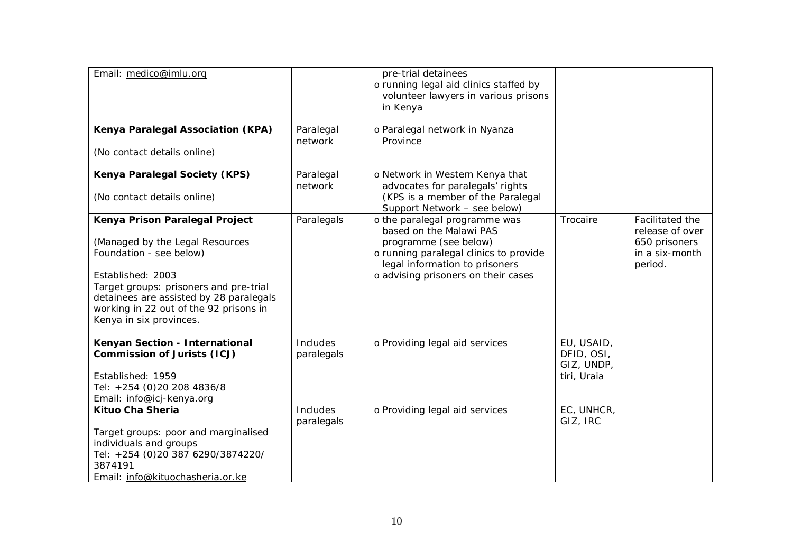| Email: medico@imlu.org                                                                                                                                                                                                                                                      |                        | pre-trial detainees<br>o running legal aid clinics staffed by<br>volunteer lawyers in various prisons<br>in Kenya                                                                                    |                                                       |                                                                                  |
|-----------------------------------------------------------------------------------------------------------------------------------------------------------------------------------------------------------------------------------------------------------------------------|------------------------|------------------------------------------------------------------------------------------------------------------------------------------------------------------------------------------------------|-------------------------------------------------------|----------------------------------------------------------------------------------|
| Kenya Paralegal Association (KPA)<br>(No contact details online)                                                                                                                                                                                                            | Paralegal<br>network   | o Paralegal network in Nyanza<br>Province                                                                                                                                                            |                                                       |                                                                                  |
| Kenya Paralegal Society (KPS)<br>(No contact details online)                                                                                                                                                                                                                | Paralegal<br>network   | o Network in Western Kenya that<br>advocates for paralegals' rights<br>(KPS is a member of the Paralegal<br>Support Network - see below)                                                             |                                                       |                                                                                  |
| Kenya Prison Paralegal Project<br>(Managed by the Legal Resources<br>Foundation - see below)<br>Established: 2003<br>Target groups: prisoners and pre-trial<br>detainees are assisted by 28 paralegals<br>working in 22 out of the 92 prisons in<br>Kenya in six provinces. | Paralegals             | o the paralegal programme was<br>based on the Malawi PAS<br>programme (see below)<br>o running paralegal clinics to provide<br>legal information to prisoners<br>o advising prisoners on their cases | Trocaire                                              | Facilitated the<br>release of over<br>650 prisoners<br>in a six-month<br>period. |
| Kenyan Section - International<br><b>Commission of Jurists (ICJ)</b><br>Established: 1959<br>Tel: +254 (0)20 208 4836/8<br>Email: info@icj-kenya.org                                                                                                                        | Includes<br>paralegals | o Providing legal aid services                                                                                                                                                                       | EU, USAID,<br>DFID, OSI,<br>GIZ, UNDP,<br>tiri, Uraia |                                                                                  |
| Kituo Cha Sheria<br>Target groups: poor and marginalised<br>individuals and groups<br>Tel: +254 (0)20 387 6290/3874220/<br>3874191<br>Email: info@kituochasheria.or.ke                                                                                                      | Includes<br>paralegals | o Providing legal aid services                                                                                                                                                                       | EC, UNHCR,<br>GIZ, IRC                                |                                                                                  |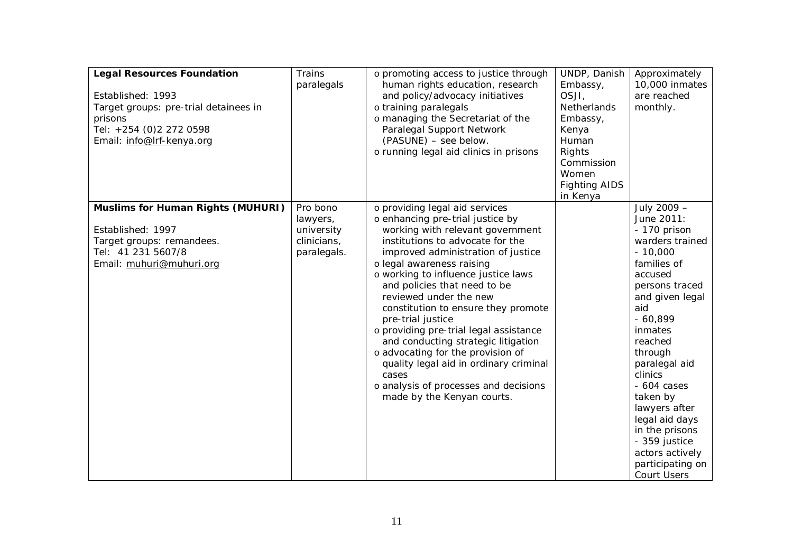| <b>Legal Resources Foundation</b><br>Established: 1993<br>Target groups: pre-trial detainees in<br>prisons<br>Tel: +254 (0)2 272 0598<br>Email: info@lrf-kenya.org | <b>Trains</b><br>paralegals                                      | o promoting access to justice through<br>human rights education, research<br>and policy/advocacy initiatives<br>o training paralegals<br>o managing the Secretariat of the<br>Paralegal Support Network<br>(PASUNE) - see below.<br>o running legal aid clinics in prisons                                                                                                                                                                                                                                                                                                                                                 | UNDP, Danish<br>Embassy,<br>OSJI,<br>Netherlands<br>Embassy,<br>Kenya<br>Human<br>Rights<br>Commission<br>Women<br><b>Fighting AIDS</b><br>in Kenya | Approximately<br>10,000 inmates<br>are reached<br>monthly.                                                                                                                                                                                                                                                                                                                               |
|--------------------------------------------------------------------------------------------------------------------------------------------------------------------|------------------------------------------------------------------|----------------------------------------------------------------------------------------------------------------------------------------------------------------------------------------------------------------------------------------------------------------------------------------------------------------------------------------------------------------------------------------------------------------------------------------------------------------------------------------------------------------------------------------------------------------------------------------------------------------------------|-----------------------------------------------------------------------------------------------------------------------------------------------------|------------------------------------------------------------------------------------------------------------------------------------------------------------------------------------------------------------------------------------------------------------------------------------------------------------------------------------------------------------------------------------------|
| <b>Muslims for Human Rights (MUHURI)</b><br>Established: 1997<br>Target groups: remandees.<br>Tel: 41 231 5607/8<br>Email: muhuri@muhuri.org                       | Pro bono<br>lawyers,<br>university<br>clinicians,<br>paralegals. | o providing legal aid services<br>o enhancing pre-trial justice by<br>working with relevant government<br>institutions to advocate for the<br>improved administration of justice<br>o legal awareness raising<br>o working to influence justice laws<br>and policies that need to be<br>reviewed under the new<br>constitution to ensure they promote<br>pre-trial justice<br>o providing pre-trial legal assistance<br>and conducting strategic litigation<br>o advocating for the provision of<br>quality legal aid in ordinary criminal<br>cases<br>o analysis of processes and decisions<br>made by the Kenyan courts. |                                                                                                                                                     | July 2009 -<br>June 2011:<br>- 170 prison<br>warders trained<br>$-10,000$<br>families of<br>accused<br>persons traced<br>and given legal<br>aid<br>$-60,899$<br>inmates<br>reached<br>through<br>paralegal aid<br>clinics<br>$-604$ cases<br>taken by<br>lawyers after<br>legal aid days<br>in the prisons<br>- 359 justice<br>actors actively<br>participating on<br><b>Court Users</b> |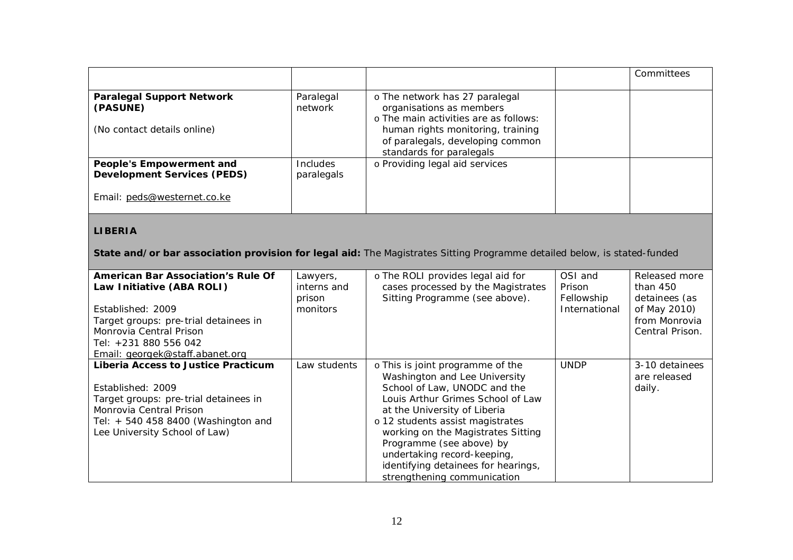|                                                                                               |                        |                                                                                                                                                                                                          | Committees |
|-----------------------------------------------------------------------------------------------|------------------------|----------------------------------------------------------------------------------------------------------------------------------------------------------------------------------------------------------|------------|
| <b>Paralegal Support Network</b><br>(PASUNE)<br>(No contact details online)                   | Paralegal<br>network   | o The network has 27 paralegal<br>organisations as members<br>o The main activities are as follows:<br>human rights monitoring, training<br>of paralegals, developing common<br>standards for paralegals |            |
| People's Empowerment and<br><b>Development Services (PEDS)</b><br>Email: peds@westernet.co.ke | Includes<br>paralegals | o Providing legal aid services                                                                                                                                                                           |            |

# **LIBERIA**

**State and/or bar association provision for legal aid:** The Magistrates Sitting Programme detailed below, is stated-funded

| <b>American Bar Association's Rule Of</b><br>Law Initiative (ABA ROLI)<br>Established: 2009<br>Target groups: pre-trial detainees in<br>Monrovia Central Prison<br>Tel: +231 880 556 042<br>Email: georgek@staff.abanet.org | Lawyers,<br>interns and<br>prison<br>monitors | o The ROLI provides legal aid for<br>cases processed by the Magistrates<br>Sitting Programme (see above).                                                                                                                                                                                                                                                                         | OSI and<br>Prison<br>Fellowship<br>International | Released more<br>than 450<br>detainees (as<br>of May 2010)<br>from Monrovia<br>Central Prison. |
|-----------------------------------------------------------------------------------------------------------------------------------------------------------------------------------------------------------------------------|-----------------------------------------------|-----------------------------------------------------------------------------------------------------------------------------------------------------------------------------------------------------------------------------------------------------------------------------------------------------------------------------------------------------------------------------------|--------------------------------------------------|------------------------------------------------------------------------------------------------|
| Liberia Access to Justice Practicum<br>Established: 2009<br>Target groups: pre-trial detainees in<br>Monrovia Central Prison<br>Tel: $+5404588400$ (Washington and<br>Lee University School of Law)                         | Law students                                  | o This is joint programme of the<br>Washington and Lee University<br>School of Law, UNODC and the<br>Louis Arthur Grimes School of Law<br>at the University of Liberia<br>o 12 students assist magistrates<br>working on the Magistrates Sitting<br>Programme (see above) by<br>undertaking record-keeping,<br>identifying detainees for hearings,<br>strengthening communication | <b>UNDP</b>                                      | 3-10 detainees<br>are released<br>daily.                                                       |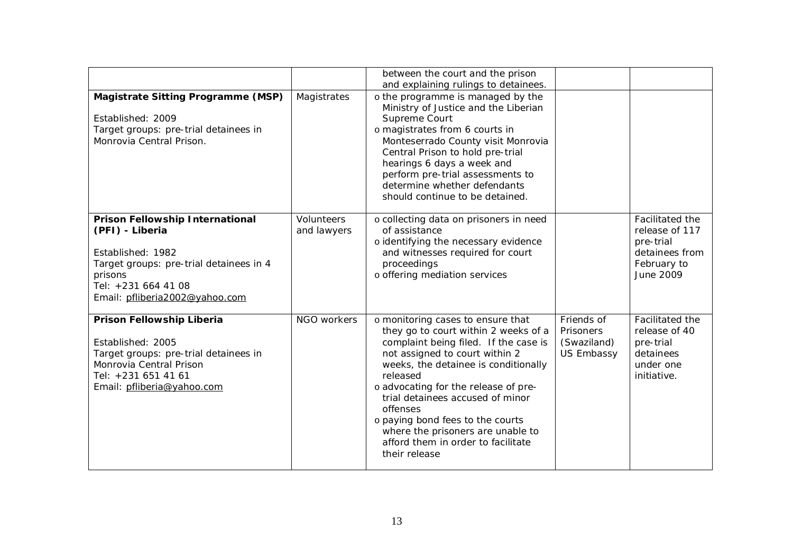|                                                                                                                                                                                        |                                  | between the court and the prison<br>and explaining rulings to detainees.                                                                                                                                                                                                                                                                                                                                                         |                                                             |                                                                                              |
|----------------------------------------------------------------------------------------------------------------------------------------------------------------------------------------|----------------------------------|----------------------------------------------------------------------------------------------------------------------------------------------------------------------------------------------------------------------------------------------------------------------------------------------------------------------------------------------------------------------------------------------------------------------------------|-------------------------------------------------------------|----------------------------------------------------------------------------------------------|
| Magistrate Sitting Programme (MSP)<br>Established: 2009<br>Target groups: pre-trial detainees in<br>Monrovia Central Prison.                                                           | Magistrates                      | o the programme is managed by the<br>Ministry of Justice and the Liberian<br>Supreme Court<br>o magistrates from 6 courts in<br>Monteserrado County visit Monrovia<br>Central Prison to hold pre-trial<br>hearings 6 days a week and<br>perform pre-trial assessments to<br>determine whether defendants<br>should continue to be detained.                                                                                      |                                                             |                                                                                              |
| Prison Fellowship International<br>(PFI) - Liberia<br>Established: 1982<br>Target groups: pre-trial detainees in 4<br>prisons<br>Tel: +231 664 41 08<br>Email: pfliberia2002@yahoo.com | <b>Volunteers</b><br>and lawyers | o collecting data on prisoners in need<br>of assistance<br>o identifying the necessary evidence<br>and witnesses required for court<br>proceedings<br>o offering mediation services                                                                                                                                                                                                                                              |                                                             | Facilitated the<br>release of 117<br>pre-trial<br>detainees from<br>February to<br>June 2009 |
| Prison Fellowship Liberia<br>Established: 2005<br>Target groups: pre-trial detainees in<br>Monrovia Central Prison<br>Tel: +231 651 41 61<br>Email: pfliberia@yahoo.com                | NGO workers                      | o monitoring cases to ensure that<br>they go to court within 2 weeks of a<br>complaint being filed. If the case is<br>not assigned to court within 2<br>weeks, the detainee is conditionally<br>released<br>o advocating for the release of pre-<br>trial detainees accused of minor<br>offenses<br>o paying bond fees to the courts<br>where the prisoners are unable to<br>afford them in order to facilitate<br>their release | Friends of<br>Prisoners<br>(Swaziland)<br><b>US Embassy</b> | Facilitated the<br>release of 40<br>pre-trial<br>detainees<br>under one<br>initiative.       |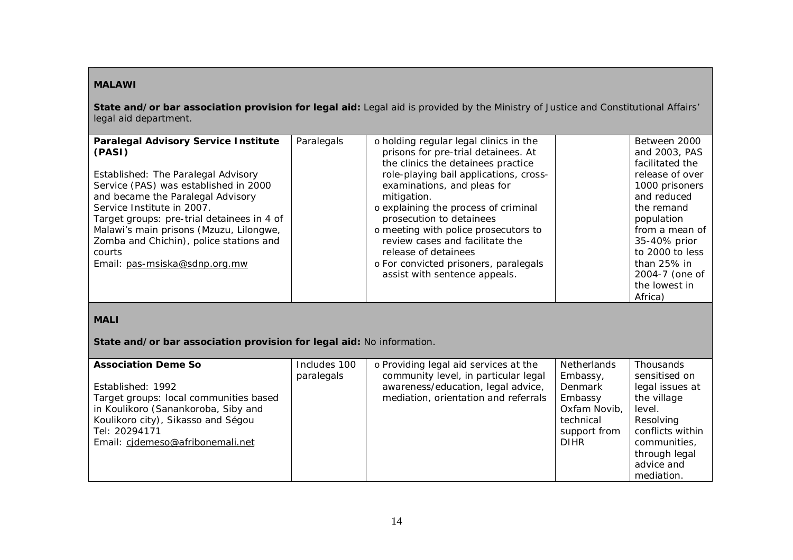# **MALAWI**

**State and/or bar association provision for legal aid:** Legal aid is provided by the Ministry of Justice and Constitutional Affairs' legal aid department.

| <b>Paralegal Advisory Service Institute</b> | Paralegals | o holding regular legal clinics in the | Between 2000    |
|---------------------------------------------|------------|----------------------------------------|-----------------|
| (PASI)                                      |            | prisons for pre-trial detainees. At    | and 2003, PAS   |
|                                             |            | the clinics the detainees practice     | facilitated the |
| Established: The Paralegal Advisory         |            | role-playing bail applications, cross- | release of over |
| Service (PAS) was established in 2000       |            | examinations, and pleas for            | 1000 prisoners  |
| and became the Paralegal Advisory           |            | mitigation.                            | and reduced     |
| Service Institute in 2007.                  |            | o explaining the process of criminal   | the remand      |
| Target groups: pre-trial detainees in 4 of  |            | prosecution to detainees               | population      |
| Malawi's main prisons (Mzuzu, Lilongwe,     |            | o meeting with police prosecutors to   | from a mean of  |
| Zomba and Chichin), police stations and     |            | review cases and facilitate the        | 35-40% prior    |
| courts                                      |            | release of detainees                   | to 2000 to less |
| Email: pas-msiska@sdnp.org.mw               |            | o For convicted prisoners, paralegals  | than 25% in     |
|                                             |            | assist with sentence appeals.          | 2004-7 (one of  |
|                                             |            |                                        | the lowest in   |
|                                             |            |                                        | Africa)         |

# **MALI**

**State and/or bar association provision for legal aid:** No information.

| <b>Association Deme So</b>                                                                                                                                                                    | Includes 100 | o Providing legal aid services at the                                                                              | <b>Netherlands</b>                                                                         | Thousands                                                                                                                                 |
|-----------------------------------------------------------------------------------------------------------------------------------------------------------------------------------------------|--------------|--------------------------------------------------------------------------------------------------------------------|--------------------------------------------------------------------------------------------|-------------------------------------------------------------------------------------------------------------------------------------------|
| Established: 1992<br>Target groups: local communities based<br>in Koulikoro (Sanankoroba, Siby and<br>Koulikoro city), Sikasso and Ségou<br>Tel: 20294171<br>Email: cidemeso@afribonemali.net | paralegals   | community level, in particular legal<br>awareness/education, legal advice,<br>mediation, orientation and referrals | Embassy,<br>Denmark<br>Embassy<br>Oxfam Novib,<br>technical<br>support from<br><b>DIHR</b> | sensitised on<br>legal issues at<br>the village<br>level.<br>Resolving<br>conflicts within<br>communities.<br>through legal<br>advice and |
|                                                                                                                                                                                               |              |                                                                                                                    |                                                                                            | mediation.                                                                                                                                |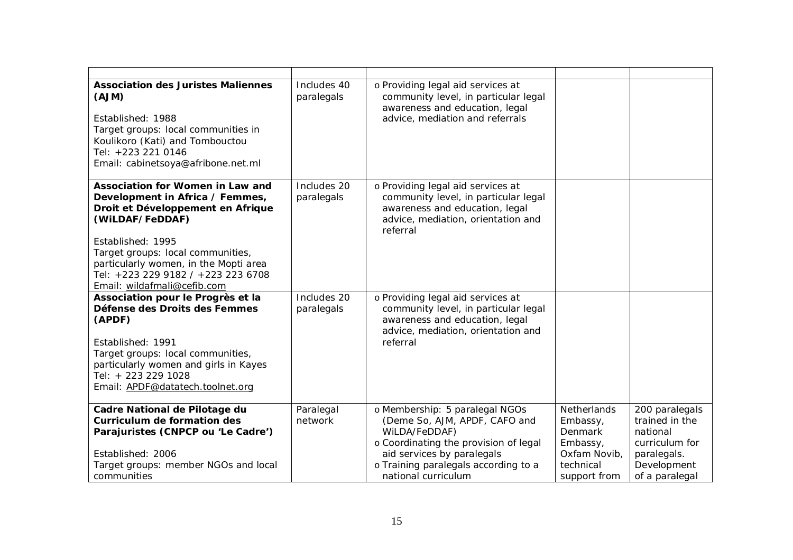| <b>Association des Juristes Maliennes</b><br>(AJM)<br>Established: 1988<br>Target groups: local communities in<br>Koulikoro (Kati) and Tombouctou<br>Tel: +223 221 0146<br>Email: cabinetsoya@afribone.net.ml                                                                                       | Includes 40<br>paralegals | o Providing legal aid services at<br>community level, in particular legal<br>awareness and education, legal<br>advice, mediation and referrals                                                                         |                                                                                                    |                                                                                                                |
|-----------------------------------------------------------------------------------------------------------------------------------------------------------------------------------------------------------------------------------------------------------------------------------------------------|---------------------------|------------------------------------------------------------------------------------------------------------------------------------------------------------------------------------------------------------------------|----------------------------------------------------------------------------------------------------|----------------------------------------------------------------------------------------------------------------|
| Association for Women in Law and<br>Development in Africa / Femmes,<br>Droit et Développement en Afrique<br>(WILDAF/FeDDAF)<br>Established: 1995<br>Target groups: local communities,<br>particularly women, in the Mopti area<br>Tel: +223 229 9182 / +223 223 6708<br>Email: wildafmali@cefib.com | Includes 20<br>paralegals | o Providing legal aid services at<br>community level, in particular legal<br>awareness and education, legal<br>advice, mediation, orientation and<br>referral                                                          |                                                                                                    |                                                                                                                |
| Association pour le Progrès et la<br>Défense des Droits des Femmes<br>(APDF)<br>Established: 1991<br>Target groups: local communities,<br>particularly women and girls in Kayes<br>Tel: + 223 229 1028<br>Email: APDF@datatech.toolnet.org                                                          | Includes 20<br>paralegals | o Providing legal aid services at<br>community level, in particular legal<br>awareness and education, legal<br>advice, mediation, orientation and<br>referral                                                          |                                                                                                    |                                                                                                                |
| Cadre National de Pilotage du<br>Curriculum de formation des<br>Parajuristes (CNPCP ou 'Le Cadre')<br>Established: 2006<br>Target groups: member NGOs and local<br>communities                                                                                                                      | Paralegal<br>network      | o Membership: 5 paralegal NGOs<br>(Deme So, AJM, APDF, CAFO and<br>WILDA/FeDDAF)<br>o Coordinating the provision of legal<br>aid services by paralegals<br>o Training paralegals according to a<br>national curriculum | Netherlands<br>Embassy,<br><b>Denmark</b><br>Embassy,<br>Oxfam Novib,<br>technical<br>support from | 200 paralegals<br>trained in the<br>national<br>curriculum for<br>paralegals.<br>Development<br>of a paralegal |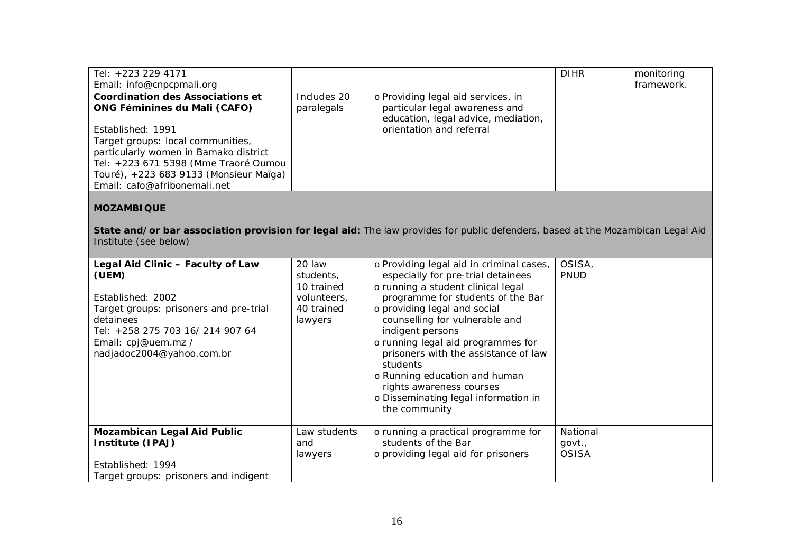| Tel: +223 229 4171                                                                                                                                      |             |                                          | <b>DIHR</b> | monitoring |  |
|---------------------------------------------------------------------------------------------------------------------------------------------------------|-------------|------------------------------------------|-------------|------------|--|
| Email: info@cnpcpmali.org                                                                                                                               |             |                                          |             | framework. |  |
| Coordination des Associations et                                                                                                                        | Includes 20 | o Providing legal aid services, in       |             |            |  |
| <b>ONG Féminines du Mali (CAFO)</b>                                                                                                                     | paralegals  | particular legal awareness and           |             |            |  |
|                                                                                                                                                         |             | education, legal advice, mediation,      |             |            |  |
| Established: 1991                                                                                                                                       |             | orientation and referral                 |             |            |  |
| Target groups: local communities,                                                                                                                       |             |                                          |             |            |  |
| particularly women in Bamako district                                                                                                                   |             |                                          |             |            |  |
| Tel: +223 671 5398 (Mme Traoré Oumou                                                                                                                    |             |                                          |             |            |  |
| Touré), +223 683 9133 (Monsieur Maïga)                                                                                                                  |             |                                          |             |            |  |
| Email: cafo@afribonemali.net                                                                                                                            |             |                                          |             |            |  |
| <b>MOZAMBIQUE</b>                                                                                                                                       |             |                                          |             |            |  |
| State and/or bar association provision for legal aid: The law provides for public defenders, based at the Mozambican Legal Aid<br>Institute (see below) |             |                                          |             |            |  |
| Legal Aid Clinic - Faculty of Law                                                                                                                       | 20 law      | o Providing legal aid in criminal cases, | OSISA,      |            |  |
| (UEM)                                                                                                                                                   | students.   | especially for pre-trial detainees       | PNUD        |            |  |

| (UEM)<br>Established: 2002<br>Target groups: prisoners and pre-trial<br>detainees<br>Tel: +258 275 703 16/ 214 907 64<br>Email: cpj@uem.mz /<br>nadjadoc2004@yahoo.com.br | students,<br>10 trained<br>volunteers,<br>40 trained<br>lawyers | especially for pre-trial detainees<br>o running a student clinical legal<br>programme for students of the Bar<br>o providing legal and social<br>counselling for vulnerable and<br>indigent persons<br>o running legal aid programmes for<br>prisoners with the assistance of law<br>students<br>o Running education and human<br>rights awareness courses<br>o Disseminating legal information in<br>the community | <b>PNUD</b>                        |  |
|---------------------------------------------------------------------------------------------------------------------------------------------------------------------------|-----------------------------------------------------------------|---------------------------------------------------------------------------------------------------------------------------------------------------------------------------------------------------------------------------------------------------------------------------------------------------------------------------------------------------------------------------------------------------------------------|------------------------------------|--|
| <b>Mozambican Legal Aid Public</b><br>Institute (IPAJ)                                                                                                                    | Law students<br>and<br>lawyers                                  | o running a practical programme for<br>students of the Bar<br>o providing legal aid for prisoners                                                                                                                                                                                                                                                                                                                   | National<br>govt.,<br><b>OSISA</b> |  |
| Established: 1994                                                                                                                                                         |                                                                 |                                                                                                                                                                                                                                                                                                                                                                                                                     |                                    |  |
| Target groups: prisoners and indigent                                                                                                                                     |                                                                 |                                                                                                                                                                                                                                                                                                                                                                                                                     |                                    |  |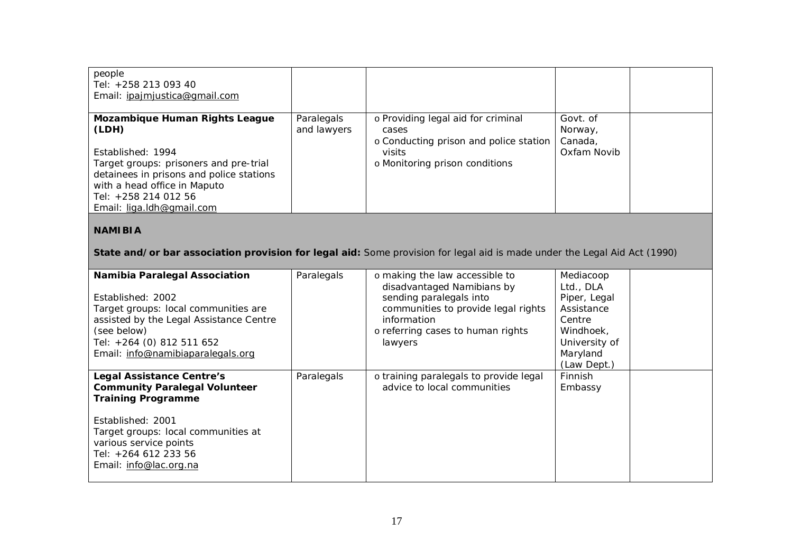| people<br>Tel: +258 213 093 40<br>Email: <i>ipajmjustica@gmail.com</i>                                                                                                                       |                           |                                                                                       |                                |  |
|----------------------------------------------------------------------------------------------------------------------------------------------------------------------------------------------|---------------------------|---------------------------------------------------------------------------------------|--------------------------------|--|
| Mozambique Human Rights League<br>(LDH)                                                                                                                                                      | Paralegals<br>and lawyers | o Providing legal aid for criminal<br>cases<br>o Conducting prison and police station | Govt. of<br>Norway,<br>Canada, |  |
| Established: 1994<br>Target groups: prisoners and pre-trial<br>detainees in prisons and police stations<br>with a head office in Maputo<br>Tel: +258 214 012 56<br>Email: liga.ldh@gmail.com |                           | visits<br>o Monitoring prison conditions                                              | Oxfam Novib                    |  |

# **NAMIBIA**

**State and/or bar association provision for legal aid:** Some provision for legal aid is made under the Legal Aid Act (1990)

| <b>Namibia Paralegal Association</b><br>Established: 2002<br>Target groups: local communities are<br>assisted by the Legal Assistance Centre<br>(see below)<br>Tel: +264 (0) 812 511 652<br>Email: info@namibiaparalegals.org                 | Paralegals | o making the law accessible to<br>disadvantaged Namibians by<br>sending paralegals into<br>communities to provide legal rights<br>information<br>o referring cases to human rights<br>lawyers | Mediacoop<br>Ltd., DLA<br>Piper, Legal<br>Assistance<br>Centre<br>Windhoek,<br>University of<br>Maryland<br>(Law Dept.) |  |
|-----------------------------------------------------------------------------------------------------------------------------------------------------------------------------------------------------------------------------------------------|------------|-----------------------------------------------------------------------------------------------------------------------------------------------------------------------------------------------|-------------------------------------------------------------------------------------------------------------------------|--|
| <b>Legal Assistance Centre's</b><br><b>Community Paralegal Volunteer</b><br><b>Training Programme</b><br>Established: 2001<br>Target groups: local communities at<br>various service points<br>Tel: +264 612 233 56<br>Email: info@lac.org.na | Paralegals | o training paralegals to provide legal<br>advice to local communities                                                                                                                         | <b>Finnish</b><br>Embassy                                                                                               |  |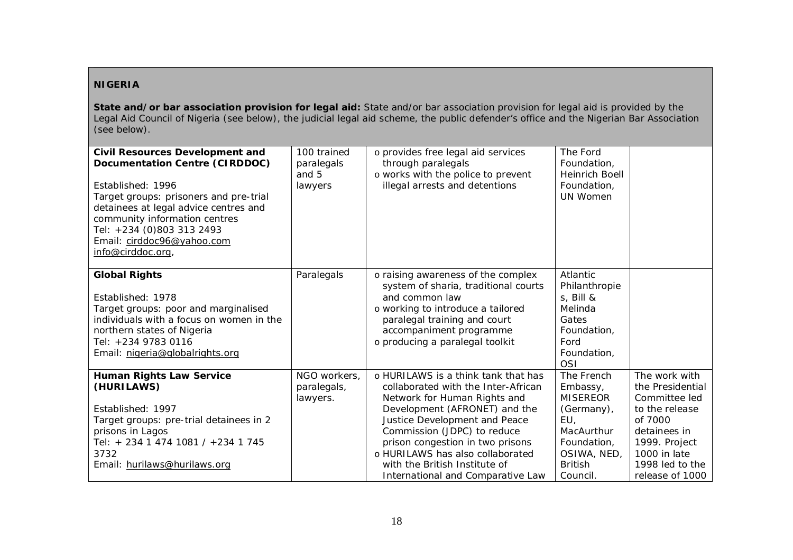### **NIGERIA**

**State and/or bar association provision for legal aid:** State and/or bar association provision for legal aid is provided by the Legal Aid Council of Nigeria (see below), the judicial legal aid scheme, the public defender's office and the Nigerian Bar Association (see below).

| <b>Civil Resources Development and</b><br>Documentation Centre (CIRDDOC)<br>Established: 1996<br>Target groups: prisoners and pre-trial<br>detainees at legal advice centres and<br>community information centres<br>Tel: +234 (0)803 313 2493<br>Email: cirddoc96@yahoo.com<br>info@cirddoc.org, | 100 trained<br>paralegals<br>and 5<br>lawyers | o provides free legal aid services<br>through paralegals<br>o works with the police to prevent<br>illegal arrests and detentions                                                                                                                                                                                                                          | The Ford<br>Foundation,<br>Heinrich Boell<br>Foundation,<br>UN Women                                                                     |                                                                                                                                                                        |
|---------------------------------------------------------------------------------------------------------------------------------------------------------------------------------------------------------------------------------------------------------------------------------------------------|-----------------------------------------------|-----------------------------------------------------------------------------------------------------------------------------------------------------------------------------------------------------------------------------------------------------------------------------------------------------------------------------------------------------------|------------------------------------------------------------------------------------------------------------------------------------------|------------------------------------------------------------------------------------------------------------------------------------------------------------------------|
| <b>Global Rights</b><br>Established: 1978<br>Target groups: poor and marginalised<br>individuals with a focus on women in the<br>northern states of Nigeria<br>Tel: +234 9783 0116<br>Email: nigeria@globalrights.org                                                                             | Paralegals                                    | o raising awareness of the complex<br>system of sharia, traditional courts<br>and common law<br>o working to introduce a tailored<br>paralegal training and court<br>accompaniment programme<br>o producing a paralegal toolkit                                                                                                                           | Atlantic<br>Philanthropie<br>s, Bill &<br>Melinda<br>Gates<br>Foundation,<br>Ford<br>Foundation,<br><b>OSI</b>                           |                                                                                                                                                                        |
| <b>Human Rights Law Service</b><br>(HURILAWS)<br>Established: 1997<br>Target groups: pre-trial detainees in 2<br>prisons in Lagos<br>Tel: + 234 1 474 1081 / +234 1 745<br>3732<br>Email: hurilaws@hurilaws.org                                                                                   | NGO workers,<br>paralegals,<br>lawyers.       | o HURILAWS is a think tank that has<br>collaborated with the Inter-African<br>Network for Human Rights and<br>Development (AFRONET) and the<br>Justice Development and Peace<br>Commission (JDPC) to reduce<br>prison congestion in two prisons<br>o HURILAWS has also collaborated<br>with the British Institute of<br>International and Comparative Law | The French<br>Embassy,<br><b>MISEREOR</b><br>(Germany),<br>EU,<br>MacAurthur<br>Foundation,<br>OSIWA, NED,<br><b>British</b><br>Council. | The work with<br>the Presidential<br>Committee led<br>to the release<br>of 7000<br>detainees in<br>1999. Project<br>1000 in late<br>1998 led to the<br>release of 1000 |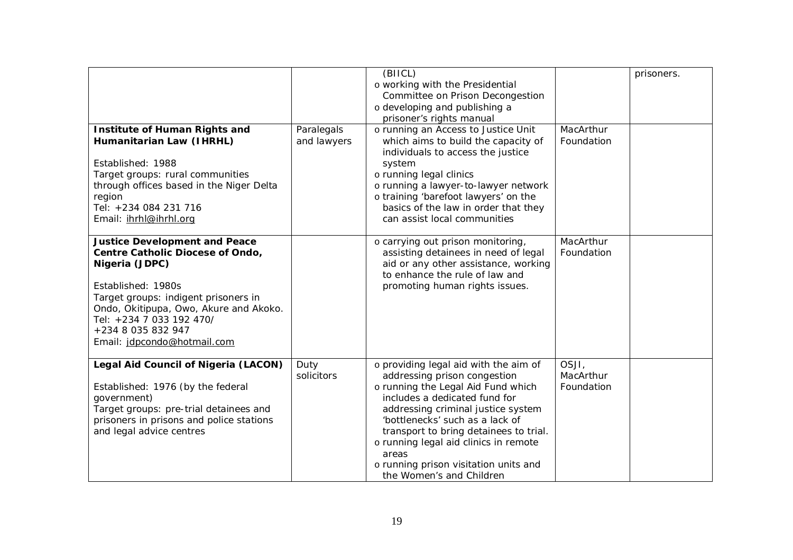| <b>Institute of Human Rights and</b><br>Humanitarian Law (IHRHL)<br>Established: 1988<br>Target groups: rural communities<br>through offices based in the Niger Delta<br>region<br>Tel: +234 084 231 716<br>Email: ihrhl@ihrhl.org                                                  | Paralegals<br>and lawyers | (BIICL)<br>o working with the Presidential<br>Committee on Prison Decongestion<br>o developing and publishing a<br>prisoner's rights manual<br>o running an Access to Justice Unit<br>which aims to build the capacity of<br>individuals to access the justice<br>system<br>o running legal clinics<br>o running a lawyer-to-lawyer network<br>o training 'barefoot lawyers' on the<br>basics of the law in order that they<br>can assist local communities | MacArthur<br>Foundation          | prisoners. |
|-------------------------------------------------------------------------------------------------------------------------------------------------------------------------------------------------------------------------------------------------------------------------------------|---------------------------|-------------------------------------------------------------------------------------------------------------------------------------------------------------------------------------------------------------------------------------------------------------------------------------------------------------------------------------------------------------------------------------------------------------------------------------------------------------|----------------------------------|------------|
| <b>Justice Development and Peace</b><br>Centre Catholic Diocese of Ondo,<br>Nigeria (JDPC)<br>Established: 1980s<br>Target groups: indigent prisoners in<br>Ondo, Okitipupa, Owo, Akure and Akoko.<br>Tel: +234 7 033 192 470/<br>+234 8 035 832 947<br>Email: idpcondo@hotmail.com |                           | o carrying out prison monitoring,<br>assisting detainees in need of legal<br>aid or any other assistance, working<br>to enhance the rule of law and<br>promoting human rights issues.                                                                                                                                                                                                                                                                       | MacArthur<br>Foundation          |            |
| Legal Aid Council of Nigeria (LACON)<br>Established: 1976 (by the federal<br>government)<br>Target groups: pre-trial detainees and<br>prisoners in prisons and police stations<br>and legal advice centres                                                                          | Duty<br>solicitors        | o providing legal aid with the aim of<br>addressing prison congestion<br>o running the Legal Aid Fund which<br>includes a dedicated fund for<br>addressing criminal justice system<br>'bottlenecks' such as a lack of<br>transport to bring detainees to trial.<br>o running legal aid clinics in remote<br>areas<br>o running prison visitation units and<br>the Women's and Children                                                                      | OSJI,<br>MacArthur<br>Foundation |            |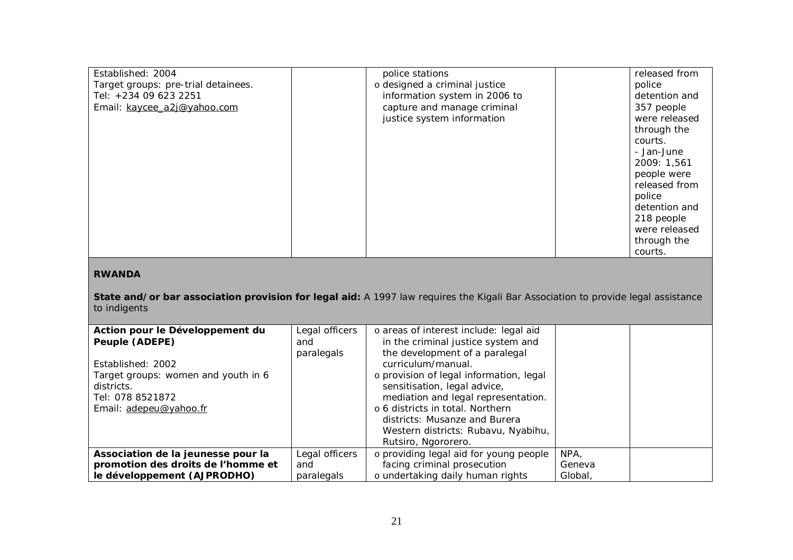| Established: 2004                                                                                                                                                 |                | police stations                         |        | released from |
|-------------------------------------------------------------------------------------------------------------------------------------------------------------------|----------------|-----------------------------------------|--------|---------------|
| Target groups: pre-trial detainees.                                                                                                                               |                | o designed a criminal justice           |        | police        |
| Tel: +234 09 623 2251                                                                                                                                             |                | information system in 2006 to           |        | detention and |
|                                                                                                                                                                   |                | capture and manage criminal             |        |               |
| Email: kaycee_a2j@yahoo.com                                                                                                                                       |                |                                         |        | 357 people    |
|                                                                                                                                                                   |                | justice system information              |        | were released |
|                                                                                                                                                                   |                |                                         |        | through the   |
|                                                                                                                                                                   |                |                                         |        | courts.       |
|                                                                                                                                                                   |                |                                         |        | - Jan-June    |
|                                                                                                                                                                   |                |                                         |        | 2009: 1,561   |
|                                                                                                                                                                   |                |                                         |        | people were   |
|                                                                                                                                                                   |                |                                         |        | released from |
|                                                                                                                                                                   |                |                                         |        | police        |
|                                                                                                                                                                   |                |                                         |        | detention and |
|                                                                                                                                                                   |                |                                         |        | 218 people    |
|                                                                                                                                                                   |                |                                         |        | were released |
|                                                                                                                                                                   |                |                                         |        | through the   |
|                                                                                                                                                                   |                |                                         |        | courts.       |
| <b>RWANDA</b><br>State and/or bar association provision for legal aid: A 1997 law requires the Kigali Bar Association to provide legal assistance<br>to indigents |                |                                         |        |               |
| Action pour le Développement du                                                                                                                                   | Legal officers | o areas of interest include: legal aid  |        |               |
| Peuple (ADEPE)                                                                                                                                                    | and            | in the criminal justice system and      |        |               |
|                                                                                                                                                                   | paralegals     | the development of a paralegal          |        |               |
| Established: 2002                                                                                                                                                 |                | curriculum/manual.                      |        |               |
| Target groups: women and youth in 6                                                                                                                               |                | o provision of legal information, legal |        |               |
| districts.                                                                                                                                                        |                | sensitisation, legal advice,            |        |               |
| Tel: 078 8521872                                                                                                                                                  |                | mediation and legal representation.     |        |               |
| Email: adepeu@yahoo.fr                                                                                                                                            |                | o 6 districts in total. Northern        |        |               |
|                                                                                                                                                                   |                | districts: Musanze and Burera           |        |               |
|                                                                                                                                                                   |                | Western districts: Rubavu, Nyabihu,     |        |               |
|                                                                                                                                                                   |                | Rutsiro, Ngororero.                     |        |               |
| Association de la jeunesse pour la                                                                                                                                | Legal officers | o providing legal aid for young people  | NPA,   |               |
| promotion des droits de l'homme et                                                                                                                                | and            | facing criminal prosecution             | Geneva |               |
|                                                                                                                                                                   |                |                                         |        |               |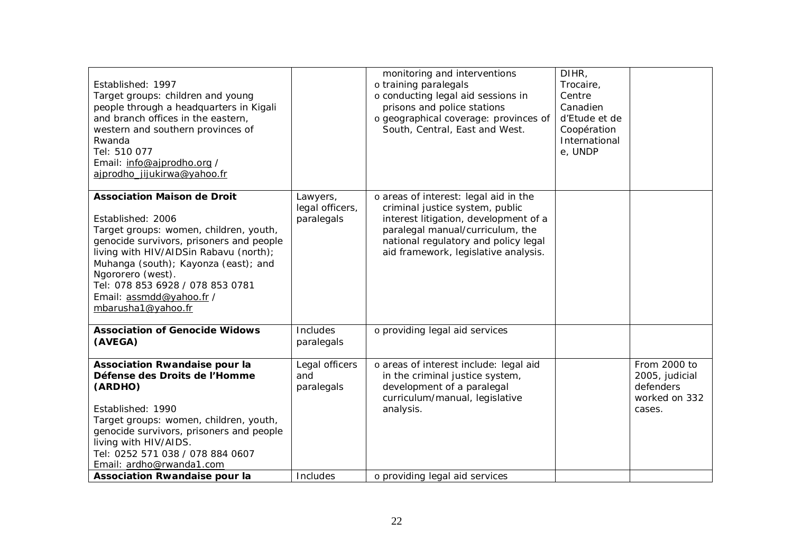| Established: 1997<br>Target groups: children and young<br>people through a headquarters in Kigali<br>and branch offices in the eastern,<br>western and southern provinces of<br>Rwanda<br>Tel: 510 077<br>Email: info@ajprodho.org /<br>ajprodho jijukirwa@yahoo.fr                                                                        |                                           | monitoring and interventions<br>o training paralegals<br>o conducting legal aid sessions in<br>prisons and police stations<br>o geographical coverage: provinces of<br>South, Central, East and West.                                 | DIHR,<br>Trocaire,<br>Centre<br>Canadien<br>d'Etude et de<br>Coopération<br>International<br>e, UNDP |                                                                        |
|--------------------------------------------------------------------------------------------------------------------------------------------------------------------------------------------------------------------------------------------------------------------------------------------------------------------------------------------|-------------------------------------------|---------------------------------------------------------------------------------------------------------------------------------------------------------------------------------------------------------------------------------------|------------------------------------------------------------------------------------------------------|------------------------------------------------------------------------|
| <b>Association Maison de Droit</b><br>Established: 2006<br>Target groups: women, children, youth,<br>genocide survivors, prisoners and people<br>living with HIV/AIDSin Rabavu (north);<br>Muhanga (south); Kayonza (east); and<br>Ngororero (west).<br>Tel: 078 853 6928 / 078 853 0781<br>Email: assmdd@yahoo.fr /<br>mbarusha1@yahoo.fr | Lawyers,<br>legal officers,<br>paralegals | o areas of interest: legal aid in the<br>criminal justice system, public<br>interest litigation, development of a<br>paralegal manual/curriculum, the<br>national regulatory and policy legal<br>aid framework, legislative analysis. |                                                                                                      |                                                                        |
| <b>Association of Genocide Widows</b><br>(AVEGA)                                                                                                                                                                                                                                                                                           | Includes<br>paralegals                    | o providing legal aid services                                                                                                                                                                                                        |                                                                                                      |                                                                        |
| <b>Association Rwandaise pour la</b><br>Défense des Droits de l'Homme<br>(ARDHO)<br>Established: 1990<br>Target groups: women, children, youth,<br>genocide survivors, prisoners and people<br>living with HIV/AIDS.<br>Tel: 0252 571 038 / 078 884 0607<br>Email: ardho@rwanda1.com                                                       | Legal officers<br>and<br>paralegals       | o areas of interest include: legal aid<br>in the criminal justice system,<br>development of a paralegal<br>curriculum/manual, legislative<br>analysis.                                                                                |                                                                                                      | From 2000 to<br>2005, judicial<br>defenders<br>worked on 332<br>cases. |
| <b>Association Rwandaise pour la</b>                                                                                                                                                                                                                                                                                                       | Includes                                  | o providing legal aid services                                                                                                                                                                                                        |                                                                                                      |                                                                        |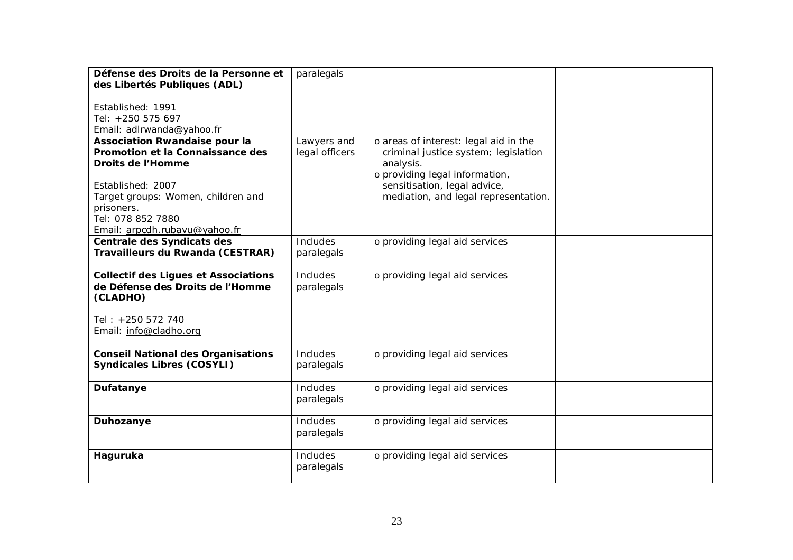| Défense des Droits de la Personne et             | paralegals     |                                       |  |
|--------------------------------------------------|----------------|---------------------------------------|--|
| des Libertés Publiques (ADL)                     |                |                                       |  |
|                                                  |                |                                       |  |
| Established: 1991                                |                |                                       |  |
| Tel: +250 575 697                                |                |                                       |  |
| Email: adlrwanda@yahoo.fr                        |                |                                       |  |
| <b>Association Rwandaise pour la</b>             | Lawyers and    | o areas of interest: legal aid in the |  |
| Promotion et la Connaissance des                 | legal officers | criminal justice system; legislation  |  |
| Droits de l'Homme                                |                | analysis.                             |  |
|                                                  |                | o providing legal information,        |  |
| Established: 2007                                |                | sensitisation, legal advice,          |  |
| Target groups: Women, children and<br>prisoners. |                | mediation, and legal representation.  |  |
| Tel: 078 852 7880                                |                |                                       |  |
| Email: arpcdh.rubavu@yahoo.fr                    |                |                                       |  |
| Centrale des Syndicats des                       | Includes       | o providing legal aid services        |  |
| Travailleurs du Rwanda (CESTRAR)                 | paralegals     |                                       |  |
|                                                  |                |                                       |  |
| <b>Collectif des Ligues et Associations</b>      | Includes       | o providing legal aid services        |  |
| de Défense des Droits de l'Homme                 | paralegals     |                                       |  |
| (CLADHO)                                         |                |                                       |  |
|                                                  |                |                                       |  |
| Tel: +250 572 740                                |                |                                       |  |
| Email: info@cladho.org                           |                |                                       |  |
|                                                  |                |                                       |  |
| <b>Conseil National des Organisations</b>        | Includes       | o providing legal aid services        |  |
| <b>Syndicales Libres (COSYLI)</b>                | paralegals     |                                       |  |
| Dufatanye                                        | Includes       | o providing legal aid services        |  |
|                                                  | paralegals     |                                       |  |
|                                                  |                |                                       |  |
| Duhozanye                                        | Includes       | o providing legal aid services        |  |
|                                                  | paralegals     |                                       |  |
|                                                  |                |                                       |  |
| Haguruka                                         | Includes       | o providing legal aid services        |  |
|                                                  | paralegals     |                                       |  |
|                                                  |                |                                       |  |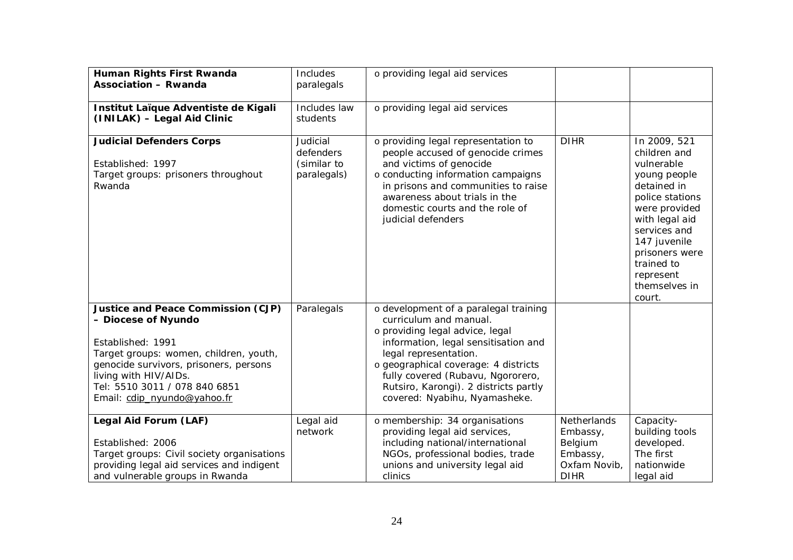| Human Rights First Rwanda<br><b>Association - Rwanda</b>                                                                                                                                                                                                    | Includes<br>paralegals                              | o providing legal aid services                                                                                                                                                                                                                                                                                             |                                                                                      |                                                                                                                                                                                                                                         |
|-------------------------------------------------------------------------------------------------------------------------------------------------------------------------------------------------------------------------------------------------------------|-----------------------------------------------------|----------------------------------------------------------------------------------------------------------------------------------------------------------------------------------------------------------------------------------------------------------------------------------------------------------------------------|--------------------------------------------------------------------------------------|-----------------------------------------------------------------------------------------------------------------------------------------------------------------------------------------------------------------------------------------|
| Institut Laïque Adventiste de Kigali<br>(INILAK) - Legal Aid Clinic                                                                                                                                                                                         | Includes law<br>students                            | o providing legal aid services                                                                                                                                                                                                                                                                                             |                                                                                      |                                                                                                                                                                                                                                         |
| <b>Judicial Defenders Corps</b><br>Established: 1997<br>Target groups: prisoners throughout<br>Rwanda                                                                                                                                                       | Judicial<br>defenders<br>(similar to<br>paralegals) | o providing legal representation to<br>people accused of genocide crimes<br>and victims of genocide<br>o conducting information campaigns<br>in prisons and communities to raise<br>awareness about trials in the<br>domestic courts and the role of<br>judicial defenders                                                 | <b>DIHR</b>                                                                          | In 2009, 521<br>children and<br>vulnerable<br>young people<br>detained in<br>police stations<br>were provided<br>with legal aid<br>services and<br>147 juvenile<br>prisoners were<br>trained to<br>represent<br>themselves in<br>court. |
| Justice and Peace Commission (CJP)<br>- Diocese of Nyundo<br>Established: 1991<br>Target groups: women, children, youth,<br>genocide survivors, prisoners, persons<br>living with HIV/AIDs.<br>Tel: 5510 3011 / 078 840 6851<br>Email: cdip_nyundo@yahoo.fr | Paralegals                                          | o development of a paralegal training<br>curriculum and manual.<br>o providing legal advice, legal<br>information, legal sensitisation and<br>legal representation.<br>o geographical coverage: 4 districts<br>fully covered (Rubavu, Ngororero,<br>Rutsiro, Karongi). 2 districts partly<br>covered: Nyabihu, Nyamasheke. |                                                                                      |                                                                                                                                                                                                                                         |
| Legal Aid Forum (LAF)<br>Established: 2006<br>Target groups: Civil society organisations<br>providing legal aid services and indigent<br>and vulnerable groups in Rwanda                                                                                    | Legal aid<br>network                                | o membership: 34 organisations<br>providing legal aid services,<br>including national/international<br>NGOs, professional bodies, trade<br>unions and university legal aid<br>clinics                                                                                                                                      | <b>Netherlands</b><br>Embassy,<br>Belgium<br>Embassy,<br>Oxfam Novib,<br><b>DIHR</b> | Capacity-<br>building tools<br>developed.<br>The first<br>nationwide<br>legal aid                                                                                                                                                       |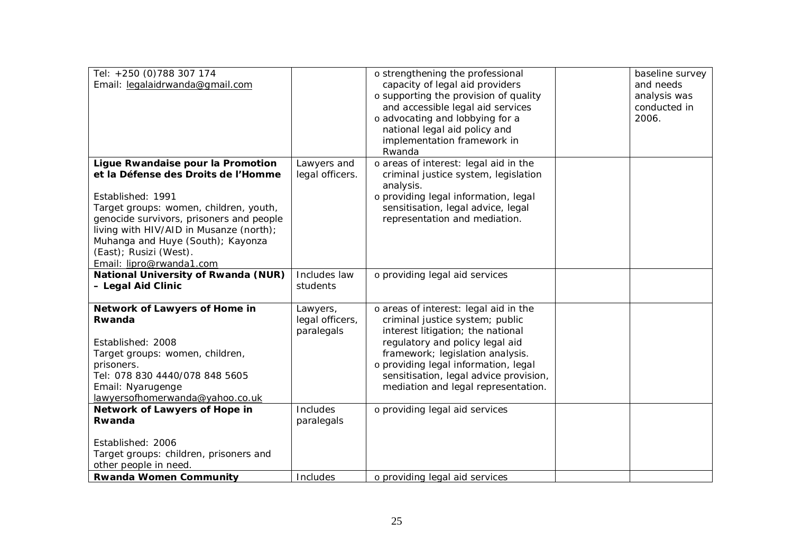| Tel: +250 (0) 788 307 174<br>Email: legalaidrwanda@gmail.com                                                                                                                                                                                                                                                              |                                           | o strengthening the professional<br>capacity of legal aid providers<br>o supporting the provision of quality<br>and accessible legal aid services<br>o advocating and lobbying for a<br>national legal aid policy and<br>implementation framework in<br>Rwanda                                                | baseline survey<br>and needs<br>analysis was<br>conducted in<br>2006. |
|---------------------------------------------------------------------------------------------------------------------------------------------------------------------------------------------------------------------------------------------------------------------------------------------------------------------------|-------------------------------------------|---------------------------------------------------------------------------------------------------------------------------------------------------------------------------------------------------------------------------------------------------------------------------------------------------------------|-----------------------------------------------------------------------|
| Ligue Rwandaise pour la Promotion<br>et la Défense des Droits de l'Homme<br>Established: 1991<br>Target groups: women, children, youth,<br>genocide survivors, prisoners and people<br>living with HIV/AID in Musanze (north);<br>Muhanga and Huye (South); Kayonza<br>(East); Rusizi (West).<br>Email: lipro@rwanda1.com | Lawyers and<br>legal officers.            | o areas of interest: legal aid in the<br>criminal justice system, legislation<br>analysis.<br>o providing legal information, legal<br>sensitisation, legal advice, legal<br>representation and mediation.                                                                                                     |                                                                       |
| National University of Rwanda (NUR)<br>- Legal Aid Clinic                                                                                                                                                                                                                                                                 | Includes law<br>students                  | o providing legal aid services                                                                                                                                                                                                                                                                                |                                                                       |
| Network of Lawyers of Home in<br>Rwanda<br>Established: 2008<br>Target groups: women, children,<br>prisoners.<br>Tel: 078 830 4440/078 848 5605<br>Email: Nyarugenge<br>lawyersofhomerwanda@yahoo.co.uk                                                                                                                   | Lawyers,<br>legal officers,<br>paralegals | o areas of interest: legal aid in the<br>criminal justice system; public<br>interest litigation; the national<br>regulatory and policy legal aid<br>framework; legislation analysis.<br>o providing legal information, legal<br>sensitisation, legal advice provision,<br>mediation and legal representation. |                                                                       |
| Network of Lawyers of Hope in<br>Rwanda                                                                                                                                                                                                                                                                                   | Includes<br>paralegals                    | o providing legal aid services                                                                                                                                                                                                                                                                                |                                                                       |
| Established: 2006<br>Target groups: children, prisoners and<br>other people in need.                                                                                                                                                                                                                                      |                                           |                                                                                                                                                                                                                                                                                                               |                                                                       |
| <b>Rwanda Women Community</b>                                                                                                                                                                                                                                                                                             | Includes                                  | o providing legal aid services                                                                                                                                                                                                                                                                                |                                                                       |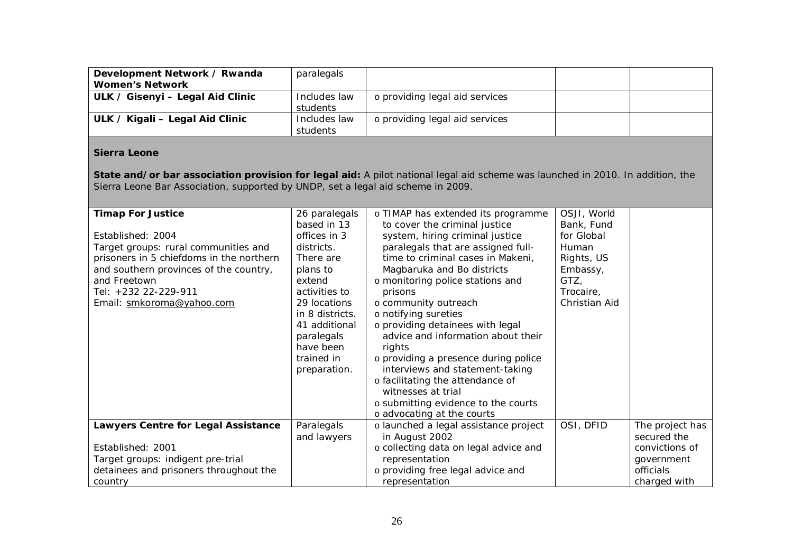| Development Network / Rwanda<br><b>Women's Network</b> | paralegals   |                                |  |
|--------------------------------------------------------|--------------|--------------------------------|--|
| ULK / Gisenyi - Legal Aid Clinic                       | Includes law | o providing legal aid services |  |
|                                                        | students     |                                |  |
| ULK / Kigali – Legal Aid Clinic                        | Includes law | o providing legal aid services |  |
|                                                        | students     |                                |  |

#### **Sierra Leone**

**State and/or bar association provision for legal aid:** A pilot national legal aid scheme was launched in 2010. In addition, the Sierra Leone Bar Association, supported by UNDP, set a legal aid scheme in 2009.

| <b>Timap For Justice</b>                 | 26 paralegals   | o TIMAP has extended its programme    | OSJI, World   |                 |
|------------------------------------------|-----------------|---------------------------------------|---------------|-----------------|
|                                          | based in 13     | to cover the criminal justice         | Bank, Fund    |                 |
| Established: 2004                        | offices in 3    | system, hiring criminal justice       | for Global    |                 |
| Target groups: rural communities and     | districts.      | paralegals that are assigned full-    | Human         |                 |
| prisoners in 5 chiefdoms in the northern | There are       | time to criminal cases in Makeni,     | Rights, US    |                 |
| and southern provinces of the country,   | plans to        | Magbaruka and Bo districts            | Embassy,      |                 |
| and Freetown                             | extend          | o monitoring police stations and      | GTZ,          |                 |
| Tel: +232 22-229-911                     | activities to   | prisons                               | Trocaire,     |                 |
| Email: smkoroma@yahoo.com                | 29 locations    | o community outreach                  | Christian Aid |                 |
|                                          | in 8 districts. | o notifying sureties                  |               |                 |
|                                          | 41 additional   | o providing detainees with legal      |               |                 |
|                                          | paralegals      | advice and information about their    |               |                 |
|                                          | have been       | rights                                |               |                 |
|                                          | trained in      | o providing a presence during police  |               |                 |
|                                          | preparation.    | interviews and statement-taking       |               |                 |
|                                          |                 | o facilitating the attendance of      |               |                 |
|                                          |                 | witnesses at trial                    |               |                 |
|                                          |                 | o submitting evidence to the courts   |               |                 |
|                                          |                 | o advocating at the courts            |               |                 |
| Lawyers Centre for Legal Assistance      | Paralegals      | o launched a legal assistance project | OSI, DFID     | The project has |
|                                          | and lawyers     | in August 2002                        |               | secured the     |
| Established: 2001                        |                 | o collecting data on legal advice and |               | convictions of  |
| Target groups: indigent pre-trial        |                 | representation                        |               | government      |
| detainees and prisoners throughout the   |                 | o providing free legal advice and     |               | officials       |
| country                                  |                 | representation                        |               | charged with    |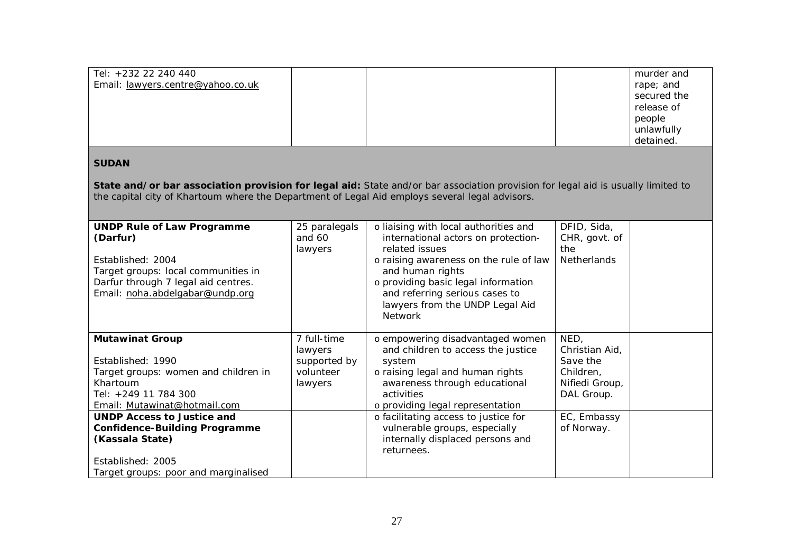| Tel: +232 22 240 440              |  | murder and  |
|-----------------------------------|--|-------------|
| Email: lawyers.centre@yahoo.co.uk |  | rape; and   |
|                                   |  | secured the |
|                                   |  | release of  |
|                                   |  | people      |
|                                   |  | unlawfully  |
|                                   |  | detained.   |

# **SUDAN**

**State and/or bar association provision for legal aid:** State and/or bar association provision for legal aid is usually limited to the capital city of Khartoum where the Department of Legal Aid employs several legal advisors.

| <b>UNDP Rule of Law Programme</b><br>(Darfur)<br>Established: 2004<br>Target groups: local communities in<br>Darfur through 7 legal aid centres.<br>Email: noha.abdelgabar@undp.org | 25 paralegals<br>and 60<br>lawyers | o liaising with local authorities and<br>international actors on protection-<br>related issues<br>o raising awareness on the rule of law<br>and human rights<br>o providing basic legal information<br>and referring serious cases to<br>lawyers from the UNDP Legal Aid | DFID, Sida,<br>CHR, govt. of<br>the<br>Netherlands |  |
|-------------------------------------------------------------------------------------------------------------------------------------------------------------------------------------|------------------------------------|--------------------------------------------------------------------------------------------------------------------------------------------------------------------------------------------------------------------------------------------------------------------------|----------------------------------------------------|--|
|                                                                                                                                                                                     |                                    | <b>Network</b>                                                                                                                                                                                                                                                           |                                                    |  |
| <b>Mutawinat Group</b>                                                                                                                                                              | 7 full-time                        | o empowering disadvantaged women                                                                                                                                                                                                                                         | NED,                                               |  |
| Established: 1990                                                                                                                                                                   | lawyers<br>supported by            | and children to access the justice<br>system                                                                                                                                                                                                                             | Christian Aid,<br>Save the                         |  |
| Target groups: women and children in                                                                                                                                                | volunteer                          | o raising legal and human rights                                                                                                                                                                                                                                         | Children,                                          |  |
| Khartoum                                                                                                                                                                            | lawyers                            | awareness through educational                                                                                                                                                                                                                                            | Nifiedi Group,                                     |  |
| Tel: +249 11 784 300                                                                                                                                                                |                                    | activities                                                                                                                                                                                                                                                               | DAL Group.                                         |  |
| Email: Mutawinat@hotmail.com                                                                                                                                                        |                                    | o providing legal representation                                                                                                                                                                                                                                         |                                                    |  |
| <b>UNDP Access to Justice and</b>                                                                                                                                                   |                                    | o facilitating access to justice for                                                                                                                                                                                                                                     | EC, Embassy                                        |  |
| <b>Confidence-Building Programme</b>                                                                                                                                                |                                    | vulnerable groups, especially                                                                                                                                                                                                                                            | of Norway.                                         |  |
| (Kassala State)                                                                                                                                                                     |                                    | internally displaced persons and                                                                                                                                                                                                                                         |                                                    |  |
|                                                                                                                                                                                     |                                    | returnees.                                                                                                                                                                                                                                                               |                                                    |  |
| Established: 2005                                                                                                                                                                   |                                    |                                                                                                                                                                                                                                                                          |                                                    |  |
| Target groups: poor and marginalised                                                                                                                                                |                                    |                                                                                                                                                                                                                                                                          |                                                    |  |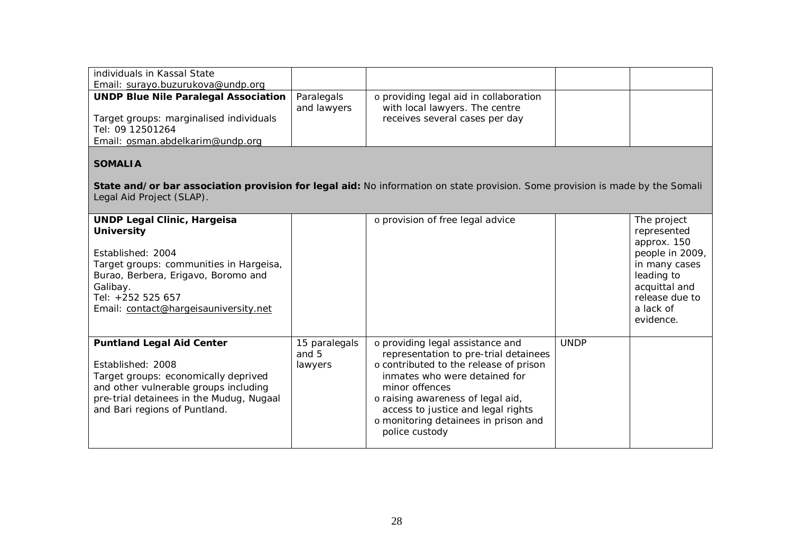| individuals in Kassal State<br>Email: surayo.buzurukova@undp.org |                           |                                                                          |  |
|------------------------------------------------------------------|---------------------------|--------------------------------------------------------------------------|--|
| <b>UNDP Blue Nile Paralegal Association</b>                      | Paralegals<br>and lawyers | o providing legal aid in collaboration<br>with local lawyers. The centre |  |
| Target groups: marginalised individuals<br>Tel: 09 12501264      |                           | receives several cases per day                                           |  |
| Email: osman.abdelkarim@undp.org                                 |                           |                                                                          |  |

# **SOMALIA**

**State and/or bar association provision for legal aid:** No information on state provision. Some provision is made by the Somali Legal Aid Project (SLAP).

| <b>UNDP Legal Clinic, Hargeisa</b><br><b>University</b><br>Established: 2004<br>Target groups: communities in Hargeisa,<br>Burao, Berbera, Erigavo, Boromo and<br>Galibay.<br>Tel: +252 525 657<br>Email: contact@hargeisauniversity.net |                                   | o provision of free legal advice                                                                                                                                                                                                                                                                            |             | The project<br>represented<br>approx. 150<br>people in 2009,<br>in many cases<br>leading to<br>acquittal and<br>release due to<br>a lack of<br>evidence. |
|------------------------------------------------------------------------------------------------------------------------------------------------------------------------------------------------------------------------------------------|-----------------------------------|-------------------------------------------------------------------------------------------------------------------------------------------------------------------------------------------------------------------------------------------------------------------------------------------------------------|-------------|----------------------------------------------------------------------------------------------------------------------------------------------------------|
| <b>Puntland Legal Aid Center</b><br>Established: 2008<br>Target groups: economically deprived<br>and other vulnerable groups including<br>pre-trial detainees in the Mudug, Nugaal<br>and Bari regions of Puntland.                      | 15 paralegals<br>and 5<br>lawyers | o providing legal assistance and<br>representation to pre-trial detainees<br>o contributed to the release of prison<br>inmates who were detained for<br>minor offences<br>o raising awareness of legal aid,<br>access to justice and legal rights<br>o monitoring detainees in prison and<br>police custody | <b>UNDP</b> |                                                                                                                                                          |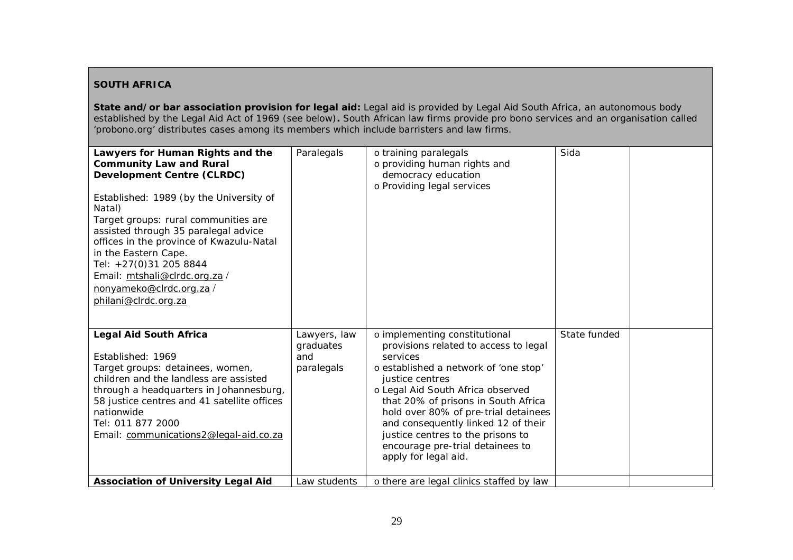#### **SOUTH AFRICA**

**State and/or bar association provision for legal aid:** Legal aid is provided by Legal Aid South Africa, an autonomous body established by the Legal Aid Act of 1969 (see below)**.** South African law firms provide pro bono services and an organisation called 'probono.org' distributes cases among its members which include barristers and law firms.

| Lawyers for Human Rights and the<br><b>Community Law and Rural</b><br><b>Development Centre (CLRDC)</b><br>Established: 1989 (by the University of<br>Natal)<br>Target groups: rural communities are<br>assisted through 35 paralegal advice<br>offices in the province of Kwazulu-Natal<br>in the Eastern Cape.<br>Tel: +27(0)31 205 8844<br>Email: mtshali@clrdc.org.za/<br>nonyameko@clrdc.org.za/<br>philani@clrdc.org.za | Paralegals                                     | o training paralegals<br>o providing human rights and<br>democracy education<br>o Providing legal services                                                                                                                                                                                                                                                                                                 | Sida         |  |
|-------------------------------------------------------------------------------------------------------------------------------------------------------------------------------------------------------------------------------------------------------------------------------------------------------------------------------------------------------------------------------------------------------------------------------|------------------------------------------------|------------------------------------------------------------------------------------------------------------------------------------------------------------------------------------------------------------------------------------------------------------------------------------------------------------------------------------------------------------------------------------------------------------|--------------|--|
| <b>Legal Aid South Africa</b><br>Established: 1969<br>Target groups: detainees, women,<br>children and the landless are assisted<br>through a headquarters in Johannesburg,<br>58 justice centres and 41 satellite offices<br>nationwide<br>Tel: 011 877 2000<br>Email: communications2@legal-aid.co.za                                                                                                                       | Lawyers, law<br>graduates<br>and<br>paralegals | o implementing constitutional<br>provisions related to access to legal<br>services<br>o established a network of 'one stop'<br>justice centres<br>o Legal Aid South Africa observed<br>that 20% of prisons in South Africa<br>hold over 80% of pre-trial detainees<br>and consequently linked 12 of their<br>justice centres to the prisons to<br>encourage pre-trial detainees to<br>apply for legal aid. | State funded |  |
| <b>Association of University Legal Aid</b>                                                                                                                                                                                                                                                                                                                                                                                    | Law students                                   | o there are legal clinics staffed by law                                                                                                                                                                                                                                                                                                                                                                   |              |  |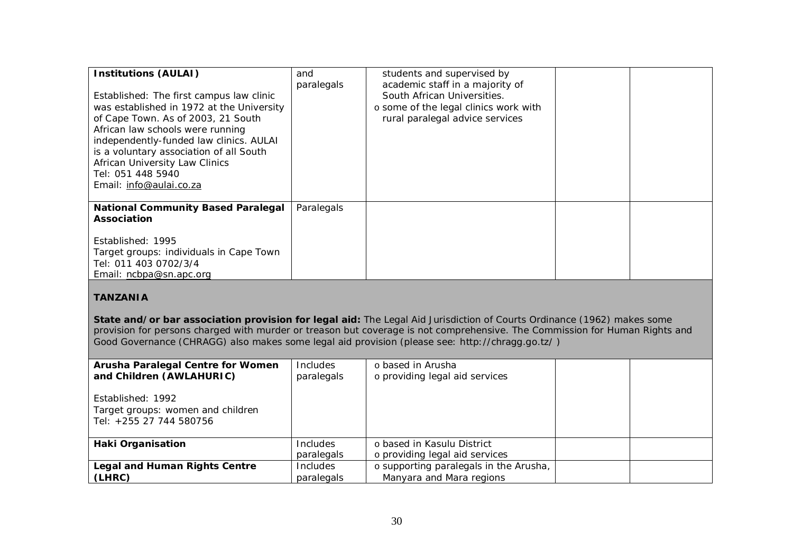| <b>Institutions (AULAI)</b><br>Established: The first campus law clinic<br>was established in 1972 at the University<br>of Cape Town. As of 2003, 21 South<br>African law schools were running<br>independently-funded law clinics. AULAI<br>is a voluntary association of all South<br>African University Law Clinics<br>Tel: 051 448 5940<br>Email: info@aulai.co.za | and<br>paralegals | students and supervised by<br>academic staff in a majority of<br>South African Universities.<br>o some of the legal clinics work with<br>rural paralegal advice services |  |
|------------------------------------------------------------------------------------------------------------------------------------------------------------------------------------------------------------------------------------------------------------------------------------------------------------------------------------------------------------------------|-------------------|--------------------------------------------------------------------------------------------------------------------------------------------------------------------------|--|
| <b>National Community Based Paralegal</b><br>Association<br>Established: 1995<br>Target groups: individuals in Cape Town<br>Tel: 011 403 0702/3/4<br>Email: ncbpa@sn.apc.org                                                                                                                                                                                           | Paralegals        |                                                                                                                                                                          |  |

# **TANZANIA**

**State and/or bar association provision for legal aid:** The Legal Aid Jurisdiction of Courts Ordinance (1962) makes some provision for persons charged with murder or treason but coverage is not comprehensive. The Commission for Human Rights and Good Governance (CHRAGG) also makes some legal aid provision (please see: http://chragg.go.tz/ )

| Arusha Paralegal Centre for Women<br>and Children (AWLAHURIC)                     | <b>Includes</b><br>paralegals | o based in Arusha<br>o providing legal aid services          |  |
|-----------------------------------------------------------------------------------|-------------------------------|--------------------------------------------------------------|--|
| Established: 1992<br>Target groups: women and children<br>Tel: +255 27 744 580756 |                               |                                                              |  |
| <b>Haki Organisation</b>                                                          | Includes<br>paralegals        | o based in Kasulu District<br>o providing legal aid services |  |
| <b>Legal and Human Rights Centre</b>                                              | Includes                      | o supporting paralegals in the Arusha,                       |  |
| (LHRC)                                                                            | paralegals                    | Manyara and Mara regions                                     |  |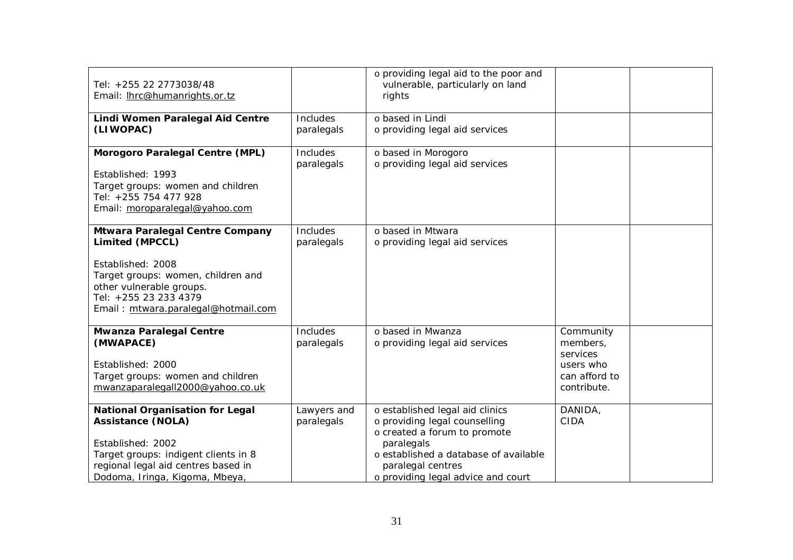| Tel: +255 22 2773038/48<br>Email: Ihrc@humanrights.or.tz                                                                                                                                                  |                               | o providing legal aid to the poor and<br>vulnerable, particularly on land<br>rights                                                                                                                                |                                                                                |  |
|-----------------------------------------------------------------------------------------------------------------------------------------------------------------------------------------------------------|-------------------------------|--------------------------------------------------------------------------------------------------------------------------------------------------------------------------------------------------------------------|--------------------------------------------------------------------------------|--|
| Lindi Women Paralegal Aid Centre<br>(LIWOPAC)                                                                                                                                                             | <b>Includes</b><br>paralegals | o based in Lindi<br>o providing legal aid services                                                                                                                                                                 |                                                                                |  |
| Morogoro Paralegal Centre (MPL)<br>Established: 1993<br>Target groups: women and children<br>Tel: +255 754 477 928<br>Email: moroparalegal@yahoo.com                                                      | Includes<br>paralegals        | o based in Morogoro<br>o providing legal aid services                                                                                                                                                              |                                                                                |  |
| Mtwara Paralegal Centre Company<br>Limited (MPCCL)<br>Established: 2008<br>Target groups: women, children and<br>other vulnerable groups.<br>Tel: +255 23 233 4379<br>Email: mtwara.paralegal@hotmail.com | Includes<br>paralegals        | o based in Mtwara<br>o providing legal aid services                                                                                                                                                                |                                                                                |  |
| <b>Mwanza Paralegal Centre</b><br>(MWAPACE)<br>Established: 2000<br>Target groups: women and children<br>mwanzaparalegall2000@yahoo.co.uk                                                                 | Includes<br>paralegals        | o based in Mwanza<br>o providing legal aid services                                                                                                                                                                | Community<br>members.<br>services<br>users who<br>can afford to<br>contribute. |  |
| <b>National Organisation for Legal</b><br><b>Assistance (NOLA)</b><br>Established: 2002<br>Target groups: indigent clients in 8<br>regional legal aid centres based in<br>Dodoma, Iringa, Kigoma, Mbeya,  | Lawyers and<br>paralegals     | o established legal aid clinics<br>o providing legal counselling<br>o created a forum to promote<br>paralegals<br>o established a database of available<br>paralegal centres<br>o providing legal advice and court | DANIDA,<br><b>CIDA</b>                                                         |  |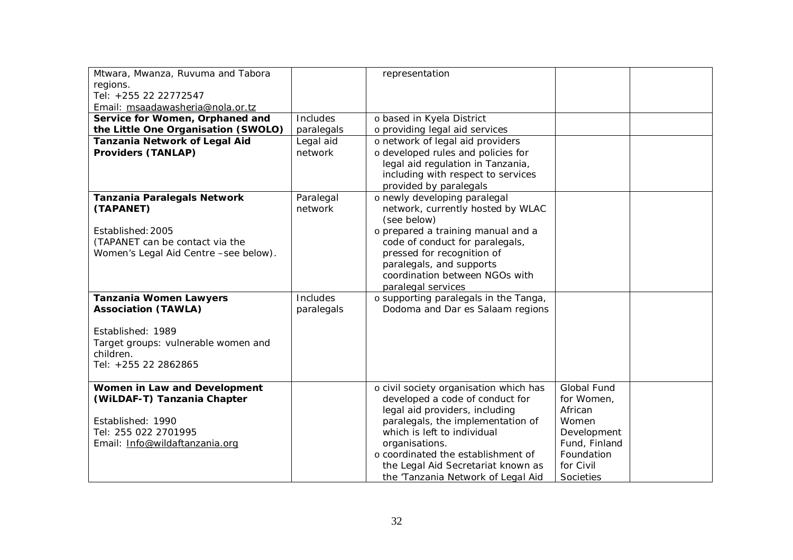| Mtwara, Mwanza, Ruvuma and Tabora     |            | representation                                                      |                       |  |
|---------------------------------------|------------|---------------------------------------------------------------------|-----------------------|--|
| regions.                              |            |                                                                     |                       |  |
| Tel: +255 22 22772547                 |            |                                                                     |                       |  |
| Email: msaadawasheria@nola.or.tz      |            |                                                                     |                       |  |
| Service for Women, Orphaned and       | Includes   | o based in Kyela District                                           |                       |  |
| the Little One Organisation (SWOLO)   | paralegals | o providing legal aid services                                      |                       |  |
| Tanzania Network of Legal Aid         | Legal aid  | o network of legal aid providers                                    |                       |  |
| <b>Providers (TANLAP)</b>             | network    | o developed rules and policies for                                  |                       |  |
|                                       |            | legal aid regulation in Tanzania,                                   |                       |  |
|                                       |            | including with respect to services                                  |                       |  |
|                                       |            | provided by paralegals                                              |                       |  |
| <b>Tanzania Paralegals Network</b>    | Paralegal  | o newly developing paralegal                                        |                       |  |
| (TAPANET)                             | network    | network, currently hosted by WLAC                                   |                       |  |
|                                       |            | (see below)                                                         |                       |  |
| Established: 2005                     |            | o prepared a training manual and a                                  |                       |  |
| (TAPANET can be contact via the       |            | code of conduct for paralegals,                                     |                       |  |
| Women's Legal Aid Centre -see below). |            | pressed for recognition of                                          |                       |  |
|                                       |            | paralegals, and supports                                            |                       |  |
|                                       |            | coordination between NGOs with                                      |                       |  |
|                                       |            | paralegal services                                                  |                       |  |
| <b>Tanzania Women Lawyers</b>         | Includes   | o supporting paralegals in the Tanga,                               |                       |  |
| <b>Association (TAWLA)</b>            | paralegals | Dodoma and Dar es Salaam regions                                    |                       |  |
|                                       |            |                                                                     |                       |  |
| Established: 1989                     |            |                                                                     |                       |  |
| Target groups: vulnerable women and   |            |                                                                     |                       |  |
| children.                             |            |                                                                     |                       |  |
| Tel: +255 22 2862865                  |            |                                                                     |                       |  |
|                                       |            |                                                                     |                       |  |
| Women in Law and Development          |            | o civil society organisation which has                              | Global Fund           |  |
| (WiLDAF-T) Tanzania Chapter           |            | developed a code of conduct for                                     | for Women,<br>African |  |
| Established: 1990                     |            | legal aid providers, including<br>paralegals, the implementation of | Women                 |  |
| Tel: 255 022 2701995                  |            | which is left to individual                                         | Development           |  |
| Email: Info@wildaftanzania.org        |            | organisations.                                                      | Fund, Finland         |  |
|                                       |            | o coordinated the establishment of                                  | Foundation            |  |
|                                       |            |                                                                     |                       |  |
|                                       |            | the Legal Aid Secretariat known as                                  | for Civil             |  |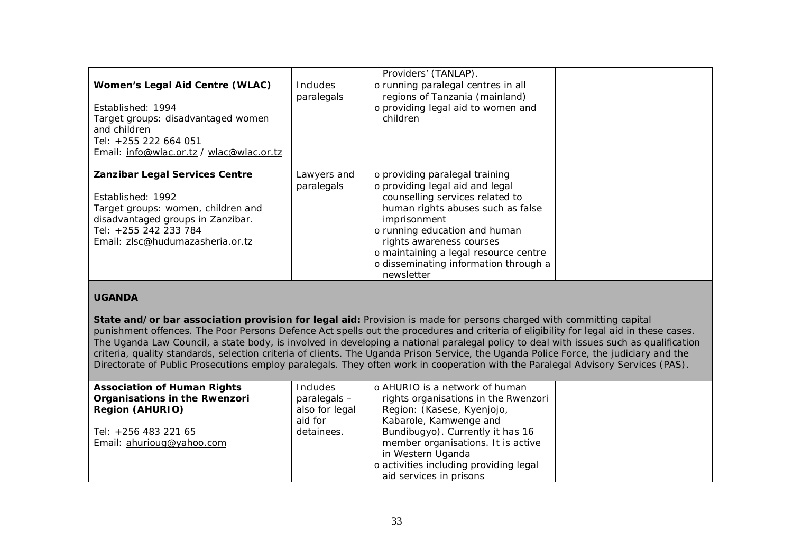|                                                                                                                                                                                             |                           | Providers' (TANLAP)                                                                                                                                                                                                                                                                                                    |  |
|---------------------------------------------------------------------------------------------------------------------------------------------------------------------------------------------|---------------------------|------------------------------------------------------------------------------------------------------------------------------------------------------------------------------------------------------------------------------------------------------------------------------------------------------------------------|--|
| Women's Legal Aid Centre (WLAC)<br>Established: 1994<br>Target groups: disadvantaged women<br>and children<br>Tel: +255 222 664 051<br>Email: info@wlac.or.tz / wlac@wlac.or.tz             | Includes<br>paralegals    | o running paralegal centres in all<br>regions of Tanzania (mainland)<br>o providing legal aid to women and<br>children                                                                                                                                                                                                 |  |
| Zanzibar Legal Services Centre<br>Established: 1992<br>Target groups: women, children and<br>disadvantaged groups in Zanzibar.<br>Tel: +255 242 233 784<br>Email: zlsc@hudumazasheria.or.tz | Lawyers and<br>paralegals | o providing paralegal training<br>o providing legal aid and legal<br>counselling services related to<br>human rights abuses such as false<br>imprisonment<br>o running education and human<br>rights awareness courses<br>o maintaining a legal resource centre<br>o disseminating information through a<br>newsletter |  |

### **UGANDA**

**State and/or bar association provision for legal aid:** Provision is made for persons charged with committing capital punishment offences. The Poor Persons Defence Act spells out the procedures and criteria of eligibility for legal aid in these cases. The Uganda Law Council, a state body, is involved in developing a national paralegal policy to deal with issues such as qualification criteria, quality standards, selection criteria of clients. The Uganda Prison Service, the Uganda Police Force, the judiciary and the Directorate of Public Prosecutions employ paralegals. They often work in cooperation with the Paralegal Advisory Services (PAS).

| <b>Association of Human Rights</b> | <b>Includes</b> | o AHURIO is a network of human         |  |
|------------------------------------|-----------------|----------------------------------------|--|
| Organisations in the Rwenzori      | paralegals -    | rights organisations in the Rwenzori   |  |
| <b>Region (AHURIO)</b>             | also for legal  | Region: (Kasese, Kyenjojo,             |  |
|                                    | aid for         | Kabarole, Kamwenge and                 |  |
| Tel: +256 483 221 65               | detainees.      | Bundibugyo). Currently it has 16       |  |
| Email: ahurioug@yahoo.com          |                 | member organisations. It is active     |  |
|                                    |                 | in Western Uganda                      |  |
|                                    |                 | o activities including providing legal |  |
|                                    |                 | aid services in prisons                |  |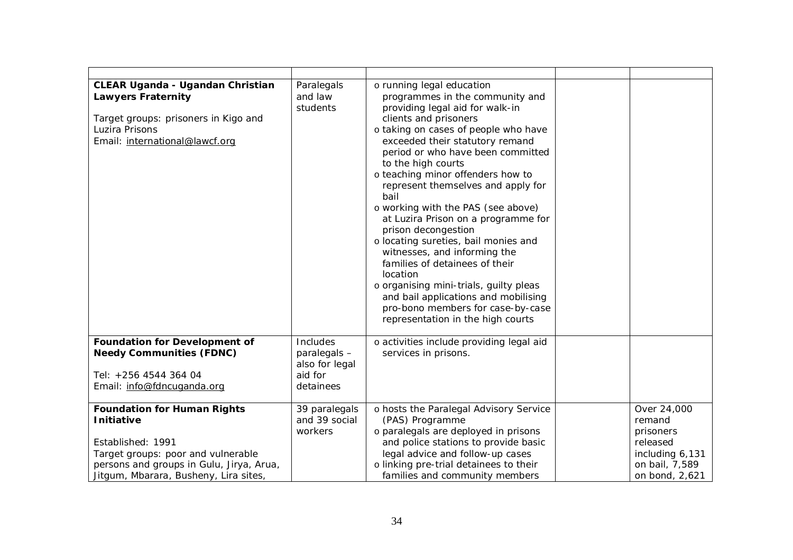| <b>CLEAR Uganda - Ugandan Christian</b><br><b>Lawyers Fraternity</b><br>Target groups: prisoners in Kigo and<br>Luzira Prisons<br>Email: international@lawcf.org                                        | Paralegals<br>and law<br>students                                  | o running legal education<br>programmes in the community and<br>providing legal aid for walk-in<br>clients and prisoners<br>o taking on cases of people who have<br>exceeded their statutory remand<br>period or who have been committed<br>to the high courts<br>o teaching minor offenders how to<br>represent themselves and apply for<br>bail<br>o working with the PAS (see above)<br>at Luzira Prison on a programme for<br>prison decongestion<br>o locating sureties, bail monies and<br>witnesses, and informing the<br>families of detainees of their<br>location<br>o organising mini-trials, guilty pleas<br>and bail applications and mobilising<br>pro-bono members for case-by-case<br>representation in the high courts |                                                                                                       |
|---------------------------------------------------------------------------------------------------------------------------------------------------------------------------------------------------------|--------------------------------------------------------------------|-----------------------------------------------------------------------------------------------------------------------------------------------------------------------------------------------------------------------------------------------------------------------------------------------------------------------------------------------------------------------------------------------------------------------------------------------------------------------------------------------------------------------------------------------------------------------------------------------------------------------------------------------------------------------------------------------------------------------------------------|-------------------------------------------------------------------------------------------------------|
| <b>Foundation for Development of</b><br><b>Needy Communities (FDNC)</b><br>Tel: +256 4544 364 04<br>Email: info@fdncuganda.org                                                                          | Includes<br>paralegals -<br>also for legal<br>aid for<br>detainees | o activities include providing legal aid<br>services in prisons.                                                                                                                                                                                                                                                                                                                                                                                                                                                                                                                                                                                                                                                                        |                                                                                                       |
| <b>Foundation for Human Rights</b><br><b>Initiative</b><br>Established: 1991<br>Target groups: poor and vulnerable<br>persons and groups in Gulu, Jirya, Arua,<br>Jitgum, Mbarara, Busheny, Lira sites, | 39 paralegals<br>and 39 social<br>workers                          | o hosts the Paralegal Advisory Service<br>(PAS) Programme<br>o paralegals are deployed in prisons<br>and police stations to provide basic<br>legal advice and follow-up cases<br>o linking pre-trial detainees to their<br>families and community members                                                                                                                                                                                                                                                                                                                                                                                                                                                                               | Over 24,000<br>remand<br>prisoners<br>released<br>including 6,131<br>on bail, 7,589<br>on bond, 2,621 |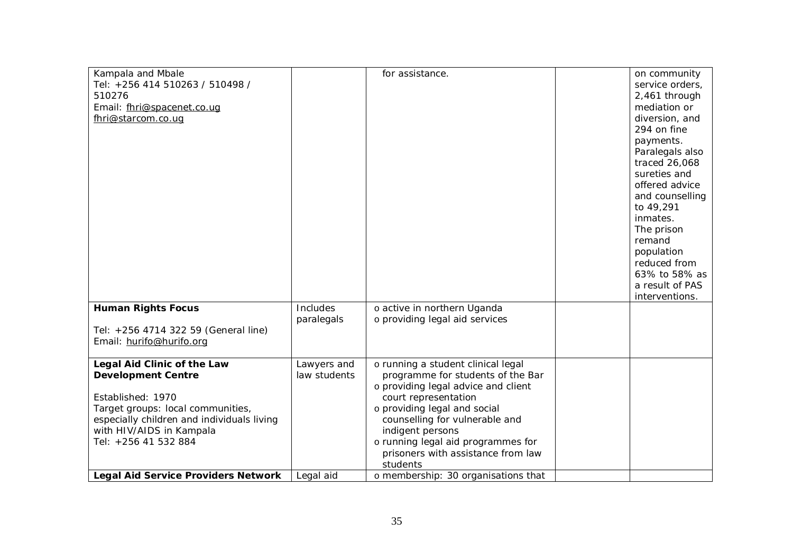| Kampala and Mbale                          |              | for assistance.                     | on community    |
|--------------------------------------------|--------------|-------------------------------------|-----------------|
|                                            |              |                                     |                 |
| Tel: +256 414 510263 / 510498 /            |              |                                     | service orders, |
| 510276                                     |              |                                     | 2,461 through   |
| Email: fhri@spacenet.co.uq                 |              |                                     | mediation or    |
| fhri@starcom.co.ug                         |              |                                     | diversion, and  |
|                                            |              |                                     | 294 on fine     |
|                                            |              |                                     | payments.       |
|                                            |              |                                     | Paralegals also |
|                                            |              |                                     |                 |
|                                            |              |                                     | traced 26,068   |
|                                            |              |                                     | sureties and    |
|                                            |              |                                     | offered advice  |
|                                            |              |                                     | and counselling |
|                                            |              |                                     | to 49,291       |
|                                            |              |                                     | inmates.        |
|                                            |              |                                     | The prison      |
|                                            |              |                                     | remand          |
|                                            |              |                                     |                 |
|                                            |              |                                     | population      |
|                                            |              |                                     | reduced from    |
|                                            |              |                                     | 63% to 58% as   |
|                                            |              |                                     | a result of PAS |
|                                            |              |                                     | interventions.  |
| <b>Human Rights Focus</b>                  | Includes     | o active in northern Uganda         |                 |
|                                            | paralegals   | o providing legal aid services      |                 |
| Tel: +256 4714 322 59 (General line)       |              |                                     |                 |
|                                            |              |                                     |                 |
| Email: hurifo@hurifo.org                   |              |                                     |                 |
|                                            |              |                                     |                 |
| Legal Aid Clinic of the Law                | Lawyers and  | o running a student clinical legal  |                 |
| <b>Development Centre</b>                  | law students | programme for students of the Bar   |                 |
|                                            |              | o providing legal advice and client |                 |
| Established: 1970                          |              | court representation                |                 |
| Target groups: local communities,          |              | o providing legal and social        |                 |
| especially children and individuals living |              | counselling for vulnerable and      |                 |
| with HIV/AIDS in Kampala                   |              | indigent persons                    |                 |
|                                            |              |                                     |                 |
| Tel: +256 41 532 884                       |              | o running legal aid programmes for  |                 |
|                                            |              | prisoners with assistance from law  |                 |
|                                            |              | students                            |                 |
| <b>Legal Aid Service Providers Network</b> | Legal aid    | o membership: 30 organisations that |                 |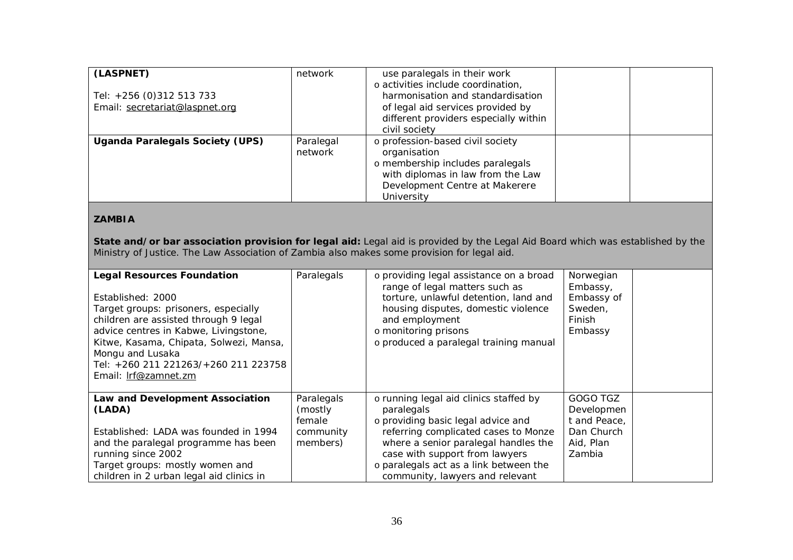| (LASPNET)<br>Tel: +256 (0)312 513 733<br>Email: secretariat@laspnet.org | network              | use paralegals in their work<br>o activities include coordination,<br>harmonisation and standardisation<br>of legal aid services provided by<br>different providers especially within |  |
|-------------------------------------------------------------------------|----------------------|---------------------------------------------------------------------------------------------------------------------------------------------------------------------------------------|--|
|                                                                         |                      | civil society                                                                                                                                                                         |  |
| Uganda Paralegals Society (UPS)                                         | Paralegal<br>network | o profession-based civil society<br>organisation<br>o membership includes paralegals<br>with diplomas in law from the Law<br>Development Centre at Makerere<br>University             |  |

#### **ZAMBIA**

**State and/or bar association provision for legal aid:** Legal aid is provided by the Legal Aid Board which was established by the Ministry of Justice. The Law Association of Zambia also makes some provision for legal aid.

| <b>Legal Resources Foundation</b><br>Established: 2000<br>Target groups: prisoners, especially<br>children are assisted through 9 legal<br>advice centres in Kabwe, Livingstone,<br>Kitwe, Kasama, Chipata, Solwezi, Mansa,<br>Mongu and Lusaka<br>Tel: +260 211 221263/+260 211 223758<br>Email: Irf@zamnet.zm | Paralegals                                               | o providing legal assistance on a broad<br>range of legal matters such as<br>torture, unlawful detention, land and<br>housing disputes, domestic violence<br>and employment<br>o monitoring prisons<br>o produced a paralegal training manual                                             | Norwegian<br>Embassy,<br>Embassy of<br>Sweden,<br>Finish<br>Embassy         |  |
|-----------------------------------------------------------------------------------------------------------------------------------------------------------------------------------------------------------------------------------------------------------------------------------------------------------------|----------------------------------------------------------|-------------------------------------------------------------------------------------------------------------------------------------------------------------------------------------------------------------------------------------------------------------------------------------------|-----------------------------------------------------------------------------|--|
| Law and Development Association<br>(LADA)<br>Established: LADA was founded in 1994<br>and the paralegal programme has been<br>running since 2002<br>Target groups: mostly women and<br>children in 2 urban legal aid clinics in                                                                                 | Paralegals<br>(mostly<br>female<br>community<br>members) | o running legal aid clinics staffed by<br>paralegals<br>o providing basic legal advice and<br>referring complicated cases to Monze<br>where a senior paralegal handles the<br>case with support from lawyers<br>o paralegals act as a link between the<br>community, lawyers and relevant | GOGO TGZ<br>Developmen<br>t and Peace,<br>Dan Church<br>Aid, Plan<br>Zambia |  |